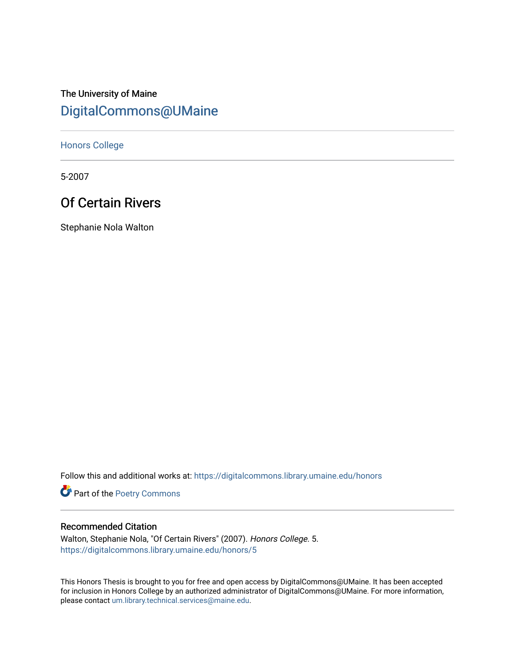# The University of Maine [DigitalCommons@UMaine](https://digitalcommons.library.umaine.edu/)

[Honors College](https://digitalcommons.library.umaine.edu/honors)

5-2007

## Of Certain Rivers

Stephanie Nola Walton

Follow this and additional works at: [https://digitalcommons.library.umaine.edu/honors](https://digitalcommons.library.umaine.edu/honors?utm_source=digitalcommons.library.umaine.edu%2Fhonors%2F5&utm_medium=PDF&utm_campaign=PDFCoverPages) 

Part of the [Poetry Commons](http://network.bepress.com/hgg/discipline/1153?utm_source=digitalcommons.library.umaine.edu%2Fhonors%2F5&utm_medium=PDF&utm_campaign=PDFCoverPages) 

#### Recommended Citation

Walton, Stephanie Nola, "Of Certain Rivers" (2007). Honors College. 5. [https://digitalcommons.library.umaine.edu/honors/5](https://digitalcommons.library.umaine.edu/honors/5?utm_source=digitalcommons.library.umaine.edu%2Fhonors%2F5&utm_medium=PDF&utm_campaign=PDFCoverPages)

This Honors Thesis is brought to you for free and open access by DigitalCommons@UMaine. It has been accepted for inclusion in Honors College by an authorized administrator of DigitalCommons@UMaine. For more information, please contact [um.library.technical.services@maine.edu.](mailto:um.library.technical.services@maine.edu)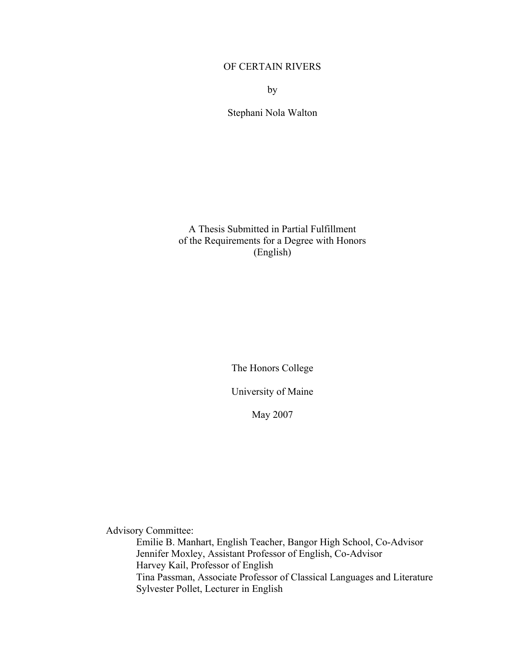#### OF CERTAIN RIVERS

by

Stephani Nola Walton

A Thesis Submitted in Partial Fulfillment of the Requirements for a Degree with Honors (English)

The Honors College

University of Maine

May 2007

Advisory Committee:

Emilie B. Manhart, English Teacher, Bangor High School, Co-Advisor Jennifer Moxley, Assistant Professor of English, Co-Advisor Harvey Kail, Professor of English Tina Passman, Associate Professor of Classical Languages and Literature Sylvester Pollet, Lecturer in English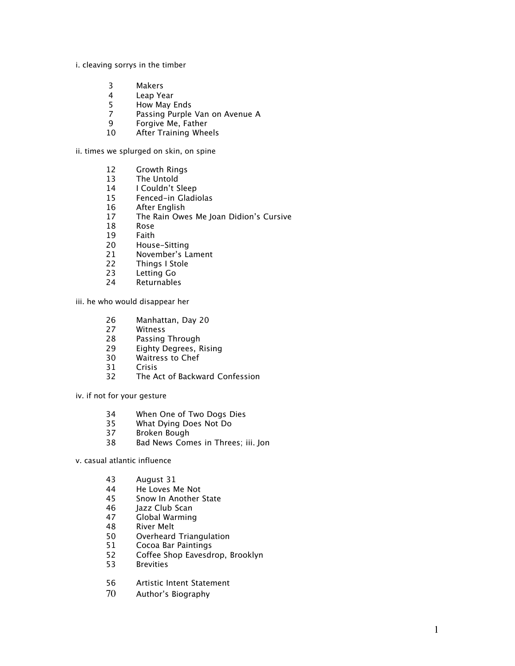#### i. cleaving sorrys in the timber

- Makers
- Leap Year
- How May Ends
- Passing Purple Van on Avenue A
- Forgive Me, Father
- After Training Wheels

ii. times we splurged on skin, on spine

- Growth Rings
- The Untold
- 14 I Couldn't Sleep
- Fenced-in Gladiolas
- After English
- The Rain Owes Me Joan Didion's Cursive
- Rose
- 19 Faith<br>20 Hous
- 20 House-Sitting<br>21 November's La
- November's Lament
- Things I Stole
- Letting Go
- Returnables

iii. he who would disappear her

- 26 Manhattan, Day 20<br>27 Witness
- 27 Witness<br>28 Passing
- Passing Through
- Eighty Degrees, Rising
- Waitress to Chef
- 31 Crisis<br>32 The A
- The Act of Backward Confession

iv. if not for your gesture

- 34 When One of Two Dogs Dies<br>35 What Dving Does Not Do
- What Dying Does Not Do
- Broken Bough
- Bad News Comes in Threes; iii. Jon

v. casual atlantic influence

- August 31
- He Loves Me Not
- Snow In Another State
- Jazz Club Scan
- Global Warming
- River Melt
- Overheard Triangulation
- 51 Cocoa Bar Paintings<br>52 Coffee Shop Eavesdr
- Coffee Shop Eavesdrop, Brooklyn
- Brevities
- Artistic Intent Statement
- Author's Biography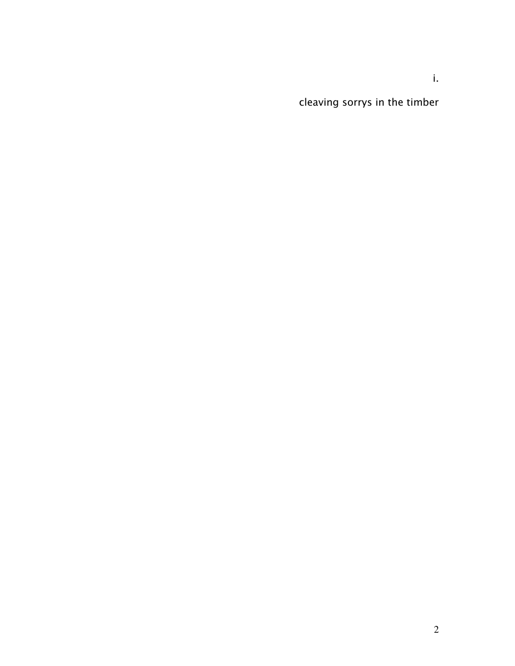cleaving sorrys in the timber

i.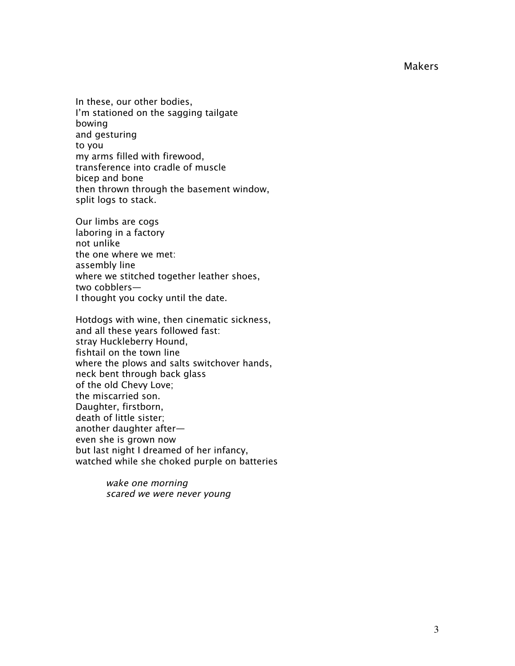Makers

In these, our other bodies, I'm stationed on the sagging tailgate bowing and gesturing to you my arms filled with firewood, transference into cradle of muscle bicep and bone then thrown through the basement window, split logs to stack.

Our limbs are cogs laboring in a factory not unlike the one where we met: assembly line where we stitched together leather shoes, two cobblers— I thought you cocky until the date.

Hotdogs with wine, then cinematic sickness, and all these years followed fast: stray Huckleberry Hound, fishtail on the town line where the plows and salts switchover hands, neck bent through back glass of the old Chevy Love; the miscarried son. Daughter, firstborn, death of little sister; another daughter after even she is grown now but last night I dreamed of her infancy, watched while she choked purple on batteries

> wake one morning scared we were never young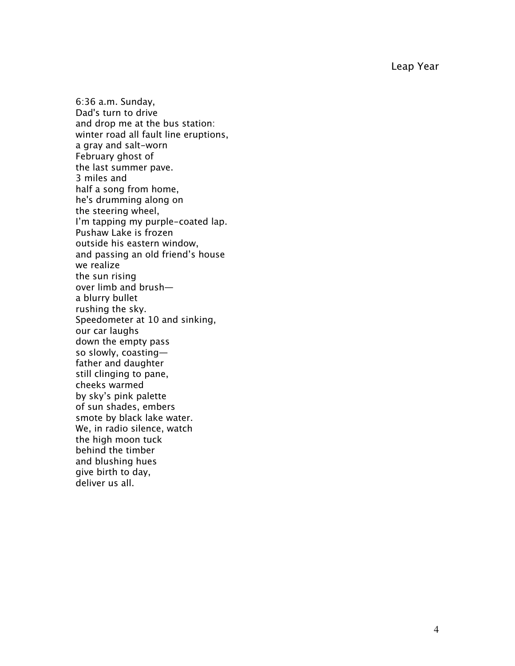Leap Year

6:36 a.m. Sunday, Dad's turn to drive and drop me at the bus station: winter road all fault line eruptions, a gray and salt-worn February ghost of the last summer pave. 3 miles and half a song from home, he's drumming along on the steering wheel, I'm tapping my purple-coated lap. Pushaw Lake is frozen outside his eastern window, and passing an old friend's house we realize the sun rising over limb and brush a blurry bullet rushing the sky. Speedometer at 10 and sinking, our car laughs down the empty pass so slowly, coasting father and daughter still clinging to pane, cheeks warmed by sky's pink palette of sun shades, embers smote by black lake water. We, in radio silence, watch the high moon tuck behind the timber and blushing hues give birth to day, deliver us all.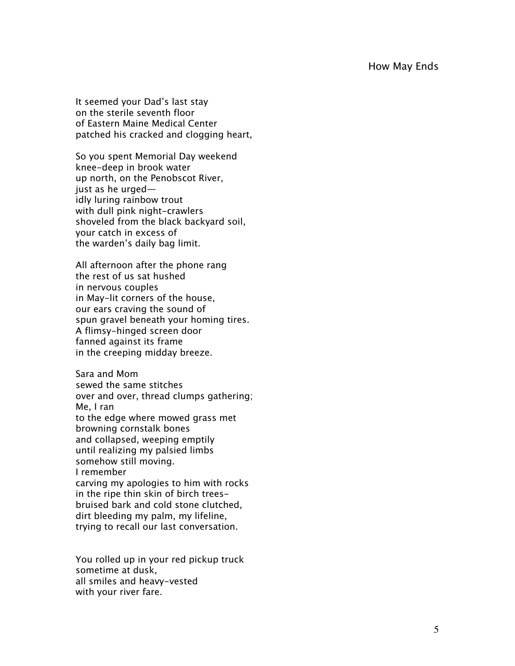#### How May Ends

It seemed your Dad's last stay on the sterile seventh floor of Eastern Maine Medical Center patched his cracked and clogging heart,

So you spent Memorial Day weekend knee-deep in brook water up north, on the Penobscot River, just as he urged idly luring rainbow trout with dull pink night-crawlers shoveled from the black backyard soil, your catch in excess of the warden's daily bag limit.

All afternoon after the phone rang the rest of us sat hushed in nervous couples in May-lit corners of the house, our ears craving the sound of spun gravel beneath your homing tires. A flimsy-hinged screen door fanned against its frame in the creeping midday breeze.

Sara and Mom sewed the same stitches over and over, thread clumps gathering; Me, I ran to the edge where mowed grass met browning cornstalk bones and collapsed, weeping emptily until realizing my palsied limbs somehow still moving. I remember carving my apologies to him with rocks in the ripe thin skin of birch treesbruised bark and cold stone clutched, dirt bleeding my palm, my lifeline, trying to recall our last conversation.

You rolled up in your red pickup truck sometime at dusk, all smiles and heavy-vested with your river fare.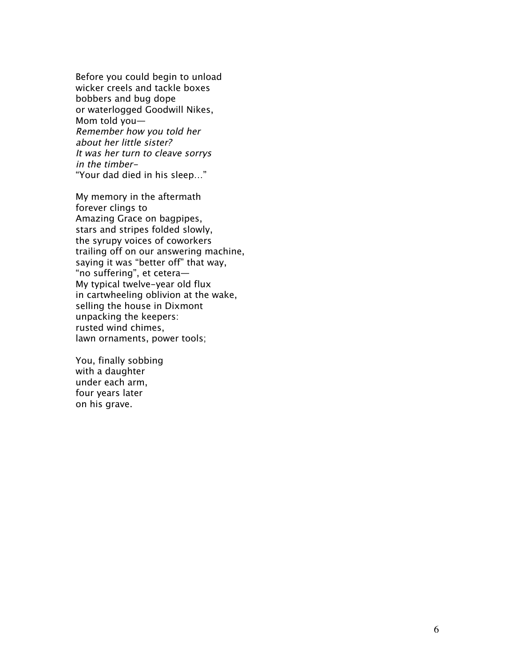Before you could begin to unload wicker creels and tackle boxes bobbers and bug dope or waterlogged Goodwill Nikes, Mom told you— Remember how you told her about her little sister? It was her turn to cleave sorrys in the timber- "Your dad died in his sleep…"

My memory in the aftermath forever clings to Amazing Grace on bagpipes, stars and stripes folded slowly, the syrupy voices of coworkers trailing off on our answering machine, saying it was "better off" that way, "no suffering", et cetera— My typical twelve-year old flux in cartwheeling oblivion at the wake, selling the house in Dixmont unpacking the keepers: rusted wind chimes, lawn ornaments, power tools;

You, finally sobbing with a daughter under each arm, four years later on his grave.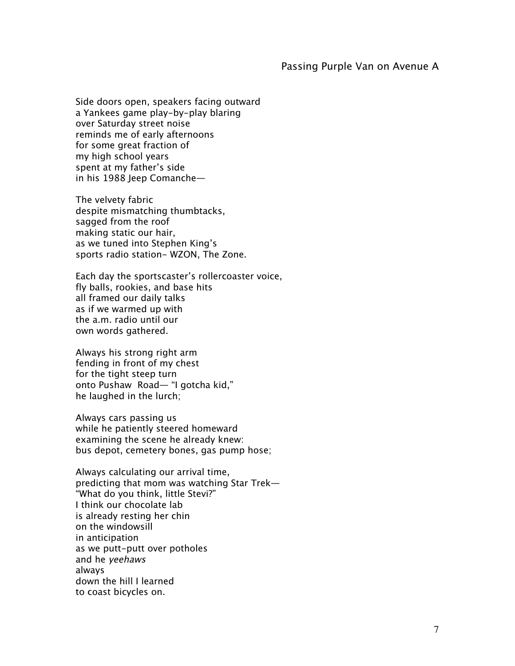#### Passing Purple Van on Avenue A

Side doors open, speakers facing outward a Yankees game play-by-play blaring over Saturday street noise reminds me of early afternoons for some great fraction of my high school years spent at my father's side in his 1988 Jeep Comanche—

The velvety fabric despite mismatching thumbtacks, sagged from the roof making static our hair, as we tuned into Stephen King's sports radio station- WZON, The Zone.

Each day the sportscaster's rollercoaster voice, fly balls, rookies, and base hits all framed our daily talks as if we warmed up with the a.m. radio until our own words gathered.

Always his strong right arm fending in front of my chest for the tight steep turn onto Pushaw Road— "I gotcha kid," he laughed in the lurch;

Always cars passing us while he patiently steered homeward examining the scene he already knew: bus depot, cemetery bones, gas pump hose;

Always calculating our arrival time, predicting that mom was watching Star Trek— "What do you think, little Stevi?" I think our chocolate lab is already resting her chin on the windowsill in anticipation as we putt-putt over potholes and he yeehaws always down the hill I learned to coast bicycles on.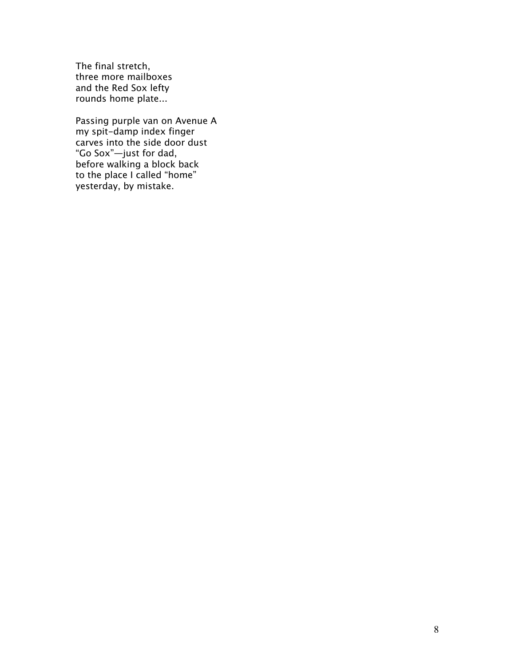The final stretch, three more mailboxes and the Red Sox lefty rounds home plate...

Passing purple van on Avenue A my spit-damp index finger carves into the side door dust "Go Sox"—just for dad, before walking a block back to the place I called "home" yesterday, by mistake.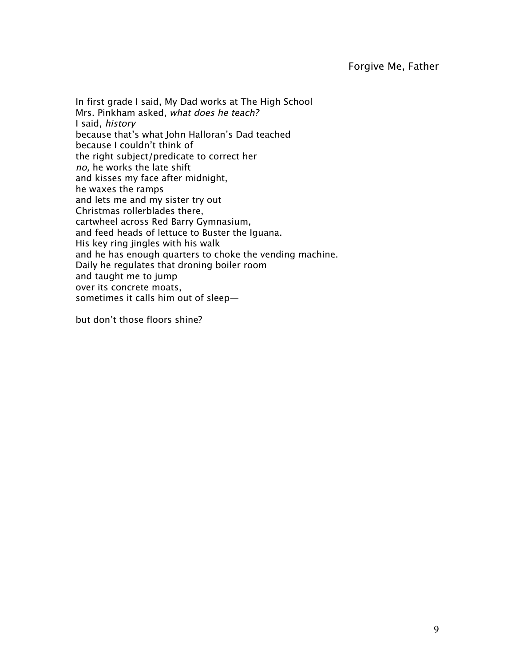In first grade I said, My Dad works at The High School Mrs. Pinkham asked, what does he teach? I said, history because that's what John Halloran's Dad teached because I couldn't think of the right subject/predicate to correct her no, he works the late shift and kisses my face after midnight, he waxes the ramps and lets me and my sister try out Christmas rollerblades there, cartwheel across Red Barry Gymnasium, and feed heads of lettuce to Buster the Iguana. His key ring jingles with his walk and he has enough quarters to choke the vending machine. Daily he regulates that droning boiler room and taught me to jump over its concrete moats, sometimes it calls him out of sleep—

but don't those floors shine?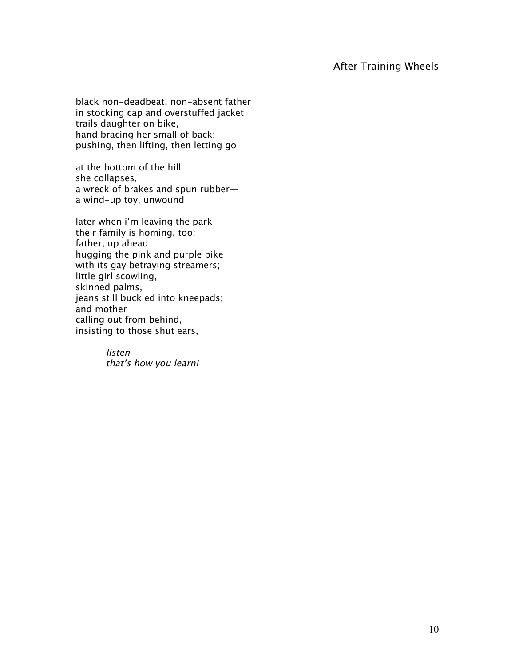## After Training Wheels

black non-deadbeat, non-absent father in stocking cap and overstuffed jacket trails daughter on bike, hand bracing her small of back; pushing, then lifting, then letting go

at the bottom of the hill she collapses, a wreck of brakes and spun rubber a wind-up toy, unwound

later when i'm leaving the park their family is homing, too: father, up ahead hugging the pink and purple bike with its gay betraying streamers; little girl scowling, skinned palms, jeans still buckled into kneepads; and mother calling out from behind, insisting to those shut ears,

> listen that's how you learn!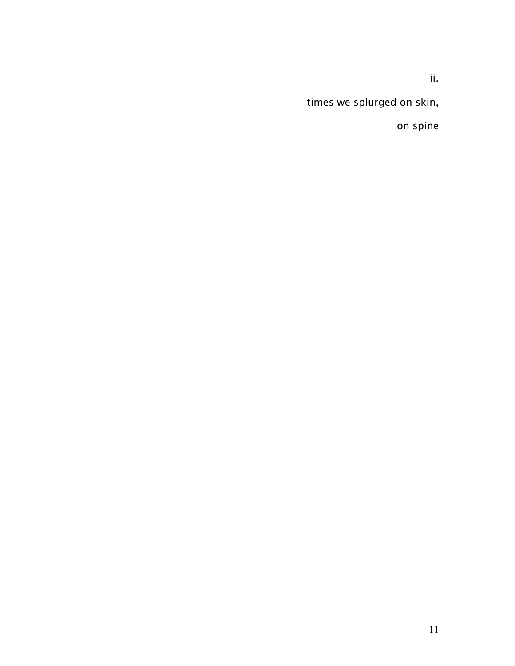ii.

times we splurged on skin,

on spine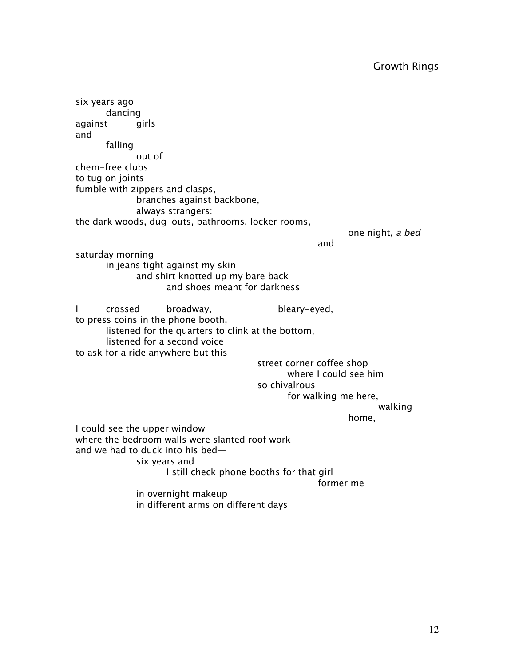six years ago dancing against girls and falling out of chem-free clubs to tug on joints fumble with zippers and clasps, branches against backbone, always strangers: the dark woods, dug-outs, bathrooms, locker rooms, one night, a bed and saturday morning in jeans tight against my skin and shirt knotted up my bare back and shoes meant for darkness I crossed broadway, bleary-eyed, to press coins in the phone booth, listened for the quarters to clink at the bottom, listened for a second voice to ask for a ride anywhere but this street corner coffee shop where I could see him so chivalrous for walking me here, walking home, I could see the upper window where the bedroom walls were slanted roof work and we had to duck into his bed six years and I still check phone booths for that girl former me in overnight makeup in different arms on different days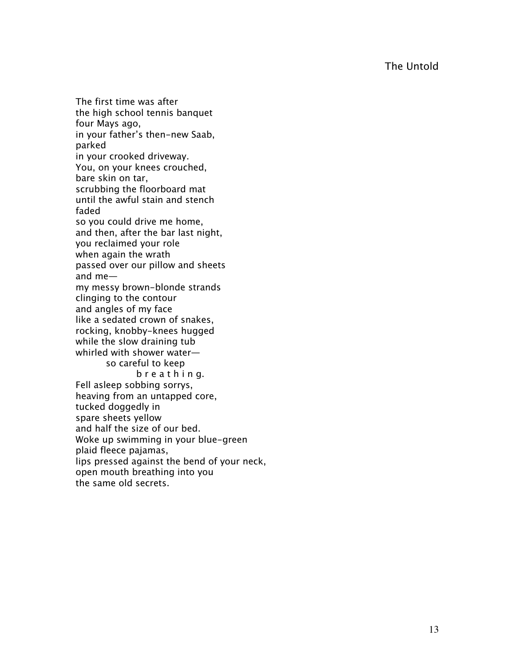The Untold

The first time was after the high school tennis banquet four Mays ago, in your father's then-new Saab, parked in your crooked driveway. You, on your knees crouched, bare skin on tar, scrubbing the floorboard mat until the awful stain and stench faded so you could drive me home, and then, after the bar last night, you reclaimed your role when again the wrath passed over our pillow and sheets and me my messy brown-blonde strands clinging to the contour and angles of my face like a sedated crown of snakes, rocking, knobby-knees hugged while the slow draining tub whirled with shower water so careful to keep b r e a t h i n g. Fell asleep sobbing sorrys, heaving from an untapped core, tucked doggedly in spare sheets yellow and half the size of our bed. Woke up swimming in your blue-green plaid fleece pajamas, lips pressed against the bend of your neck, open mouth breathing into you the same old secrets.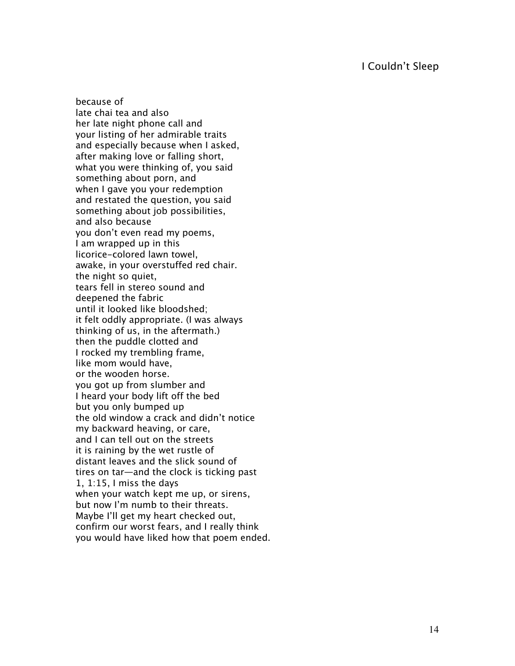### I Couldn't Sleep

because of late chai tea and also her late night phone call and your listing of her admirable traits and especially because when I asked, after making love or falling short, what you were thinking of, you said something about porn, and when I gave you your redemption and restated the question, you said something about job possibilities, and also because you don't even read my poems, I am wrapped up in this licorice-colored lawn towel, awake, in your overstuffed red chair. the night so quiet, tears fell in stereo sound and deepened the fabric until it looked like bloodshed; it felt oddly appropriate. (I was always thinking of us, in the aftermath.) then the puddle clotted and I rocked my trembling frame, like mom would have, or the wooden horse. you got up from slumber and I heard your body lift off the bed but you only bumped up the old window a crack and didn't notice my backward heaving, or care, and I can tell out on the streets it is raining by the wet rustle of distant leaves and the slick sound of tires on tar—and the clock is ticking past 1, 1:15, I miss the days when your watch kept me up, or sirens, but now I'm numb to their threats. Maybe I'll get my heart checked out, confirm our worst fears, and I really think you would have liked how that poem ended.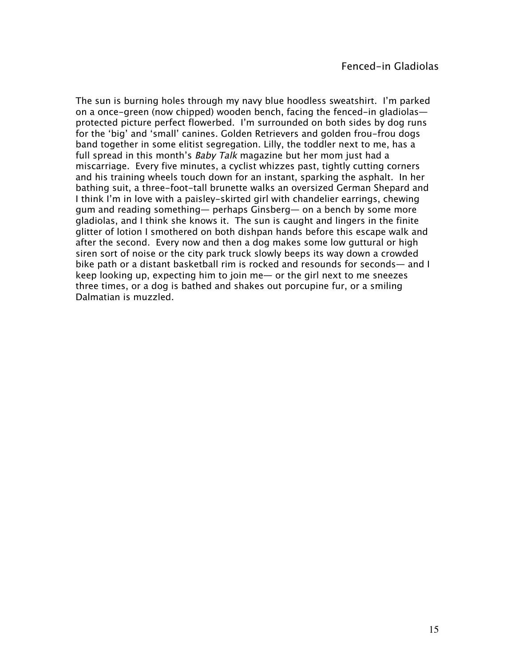The sun is burning holes through my navy blue hoodless sweatshirt. I'm parked on a once-green (now chipped) wooden bench, facing the fenced-in gladiolas protected picture perfect flowerbed. I'm surrounded on both sides by dog runs for the 'big' and 'small' canines. Golden Retrievers and golden frou-frou dogs band together in some elitist segregation. Lilly, the toddler next to me, has a full spread in this month's Baby Talk magazine but her mom just had a miscarriage. Every five minutes, a cyclist whizzes past, tightly cutting corners and his training wheels touch down for an instant, sparking the asphalt. In her bathing suit, a three-foot-tall brunette walks an oversized German Shepard and I think I'm in love with a paisley-skirted girl with chandelier earrings, chewing gum and reading something— perhaps Ginsberg— on a bench by some more gladiolas, and I think she knows it. The sun is caught and lingers in the finite glitter of lotion I smothered on both dishpan hands before this escape walk and after the second. Every now and then a dog makes some low guttural or high siren sort of noise or the city park truck slowly beeps its way down a crowded bike path or a distant basketball rim is rocked and resounds for seconds— and I keep looking up, expecting him to join me— or the girl next to me sneezes three times, or a dog is bathed and shakes out porcupine fur, or a smiling Dalmatian is muzzled.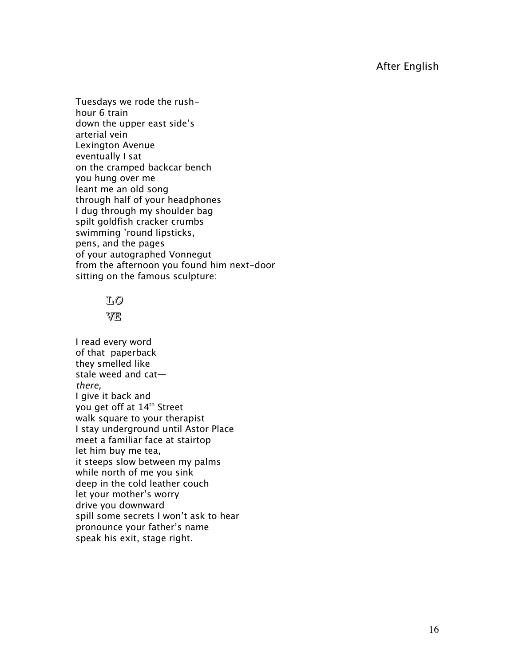Tuesdays we rode the rushhour 6 train down the upper east side's arterial vein Lexington Avenue eventually I sat on the cramped backcar bench you hung over me leant me an old song through half of your headphones I dug through my shoulder bag spilt goldfish cracker crumbs swimming 'round lipsticks, pens, and the pages of your autographed Vonnegut from the afternoon you found him next-door sitting on the famous sculpture:

# L<sup>O</sup>

### VE

I read every word of that paperback they smelled like stale weed and cat there, I give it back and you get off at 14<sup>th</sup> Street walk square to your therapist I stay underground until Astor Place meet a familiar face at stairtop let him buy me tea, it steeps slow between my palms while north of me you sink deep in the cold leather couch let your mother's worry drive you downward spill some secrets I won't ask to hear pronounce your father's name speak his exit, stage right.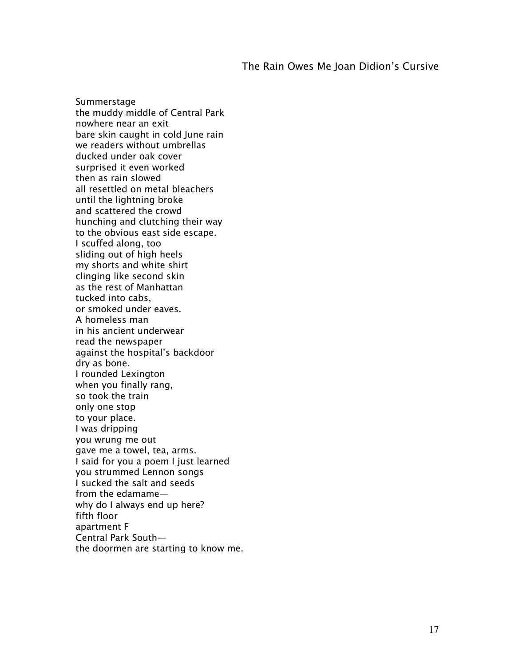#### The Rain Owes Me Joan Didion's Cursive

Summerstage the muddy middle of Central Park nowhere near an exit bare skin caught in cold June rain we readers without umbrellas ducked under oak cover surprised it even worked then as rain slowed all resettled on metal bleachers until the lightning broke and scattered the crowd hunching and clutching their way to the obvious east side escape. I scuffed along, too sliding out of high heels my shorts and white shirt clinging like second skin as the rest of Manhattan tucked into cabs, or smoked under eaves. A homeless man in his ancient underwear read the newspaper against the hospital's backdoor dry as bone. I rounded Lexington when you finally rang, so took the train only one stop to your place. I was dripping you wrung me out gave me a towel, tea, arms. I said for you a poem I just learned you strummed Lennon songs I sucked the salt and seeds from the edamame why do I always end up here? fifth floor apartment F Central Park South the doormen are starting to know me.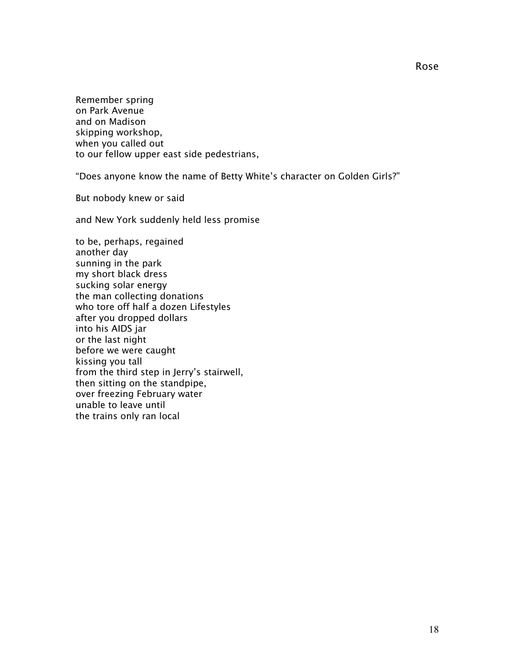Remember spring on Park Avenue and on Madison skipping workshop, when you called out to our fellow upper east side pedestrians,

"Does anyone know the name of Betty White's character on Golden Girls?"

But nobody knew or said

and New York suddenly held less promise

to be, perhaps, regained another day sunning in the park my short black dress sucking solar energy the man collecting donations who tore off half a dozen Lifestyles after you dropped dollars into his AIDS jar or the last night before we were caught kissing you tall from the third step in Jerry's stairwell, then sitting on the standpipe, over freezing February water unable to leave until the trains only ran local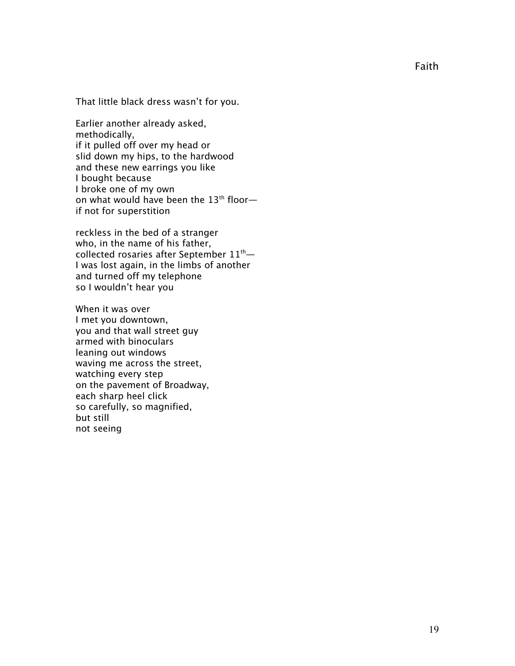That little black dress wasn't for you.

Earlier another already asked, methodically, if it pulled off over my head or slid down my hips, to the hardwood and these new earrings you like I bought because I broke one of my own on what would have been the  $13<sup>th</sup>$  floor if not for superstition

reckless in the bed of a stranger who, in the name of his father, collected rosaries after September  $11<sup>th</sup>$ — I was lost again, in the limbs of another and turned off my telephone so I wouldn't hear you

When it was over I met you downtown, you and that wall street guy armed with binoculars leaning out windows waving me across the street, watching every step on the pavement of Broadway, each sharp heel click so carefully, so magnified, but still not seeing

Faith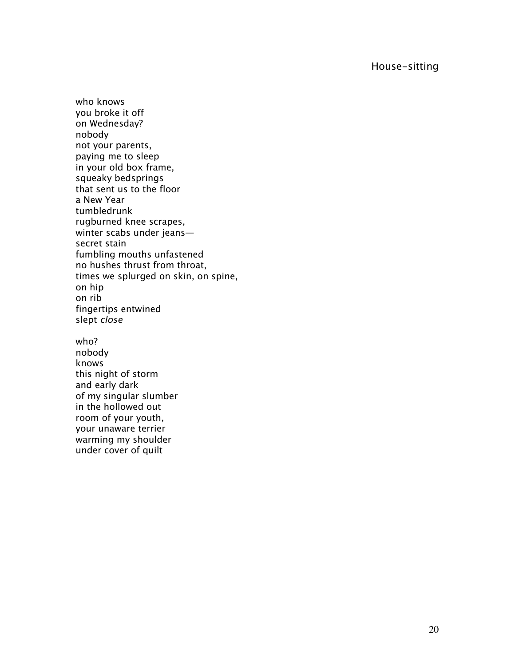House-sitting

who knows you broke it off on Wednesday? nobody not your parents, paying me to sleep in your old box frame, squeaky bedsprings that sent us to the floor a New Year tumbledrunk rugburned knee scrapes, winter scabs under jeans secret stain fumbling mouths unfastened no hushes thrust from throat, times we splurged on skin, on spine, on hip on rib fingertips entwined slept close who?

nobody knows this night of storm and early dark of my singular slumber in the hollowed out room of your youth, your unaware terrier warming my shoulder under cover of quilt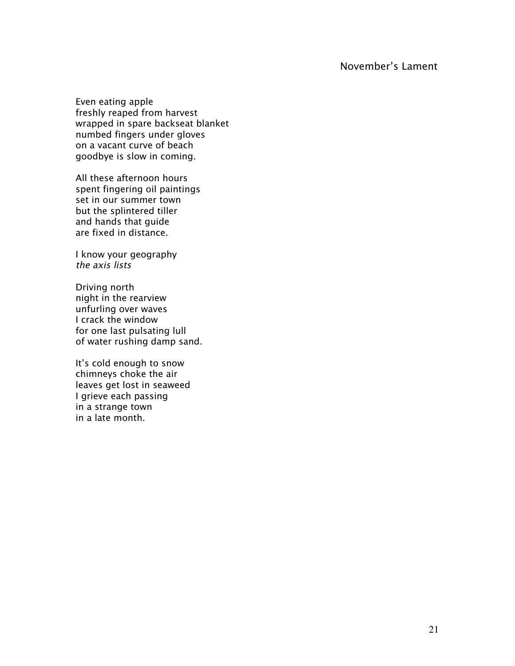## November's Lament

Even eating apple freshly reaped from harvest wrapped in spare backseat blanket numbed fingers under gloves on a vacant curve of beach goodbye is slow in coming.

All these afternoon hours spent fingering oil paintings set in our summer town but the splintered tiller and hands that guide are fixed in distance.

I know your geography the axis lists

Driving north night in the rearview unfurling over waves I crack the window for one last pulsating lull of water rushing damp sand.

It's cold enough to snow chimneys choke the air leaves get lost in seaweed I grieve each passing in a strange town in a late month.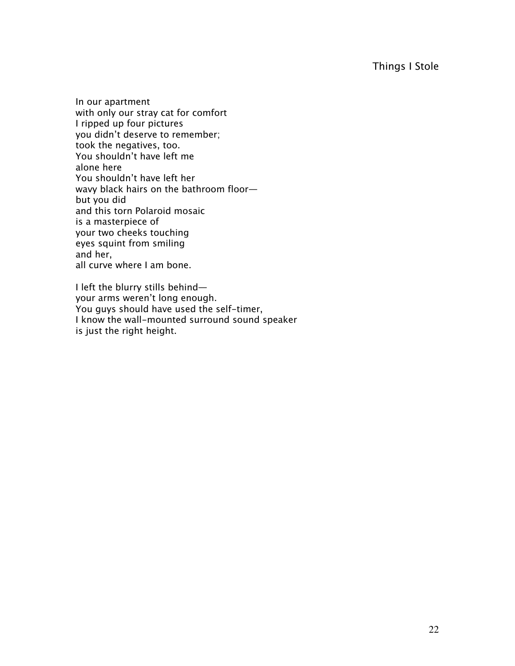## Things I Stole

In our apartment with only our stray cat for comfort I ripped up four pictures you didn't deserve to remember; took the negatives, too. You shouldn't have left me alone here You shouldn't have left her wavy black hairs on the bathroom floor but you did and this torn Polaroid mosaic is a masterpiece of your two cheeks touching eyes squint from smiling and her, all curve where I am bone.

I left the blurry stills behind your arms weren't long enough. You guys should have used the self-timer, I know the wall-mounted surround sound speaker is just the right height.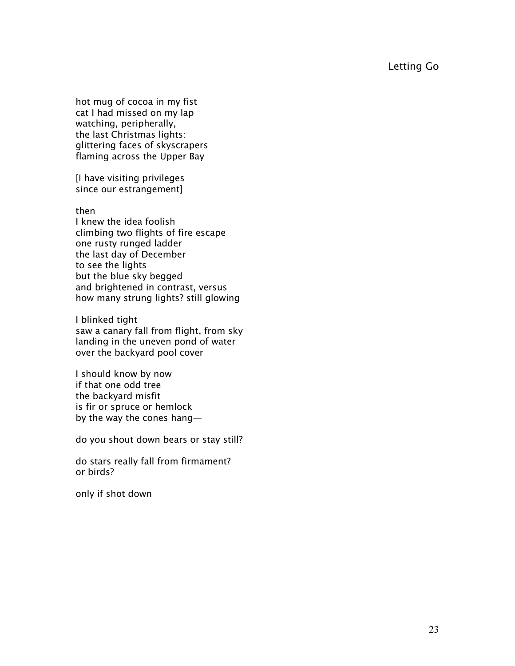Letting Go

hot mug of cocoa in my fist cat I had missed on my lap watching, peripherally, the last Christmas lights: glittering faces of skyscrapers flaming across the Upper Bay

[I have visiting privileges since our estrangement]

then

I knew the idea foolish climbing two flights of fire escape one rusty runged ladder the last day of December to see the lights but the blue sky begged and brightened in contrast, versus how many strung lights? still glowing

I blinked tight saw a canary fall from flight, from sky landing in the uneven pond of water over the backyard pool cover

I should know by now if that one odd tree the backyard misfit is fir or spruce or hemlock by the way the cones hang—

do you shout down bears or stay still?

do stars really fall from firmament? or birds?

only if shot down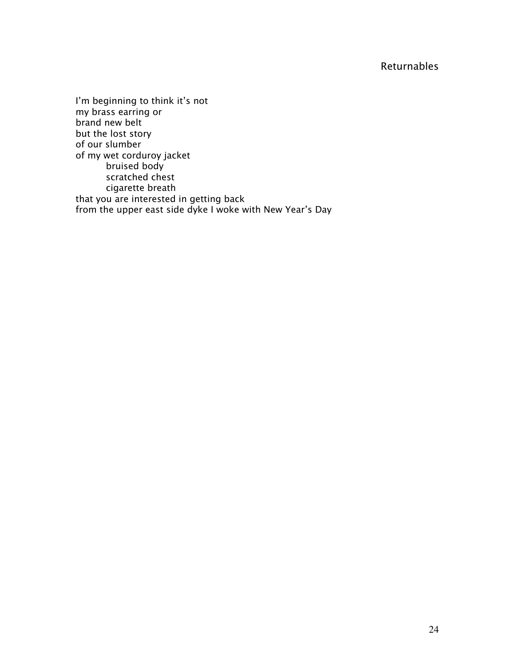## Returnables

I'm beginning to think it's not my brass earring or brand new belt but the lost story of our slumber of my wet corduroy jacket bruised body scratched chest cigarette breath that you are interested in getting back from the upper east side dyke I woke with New Year's Day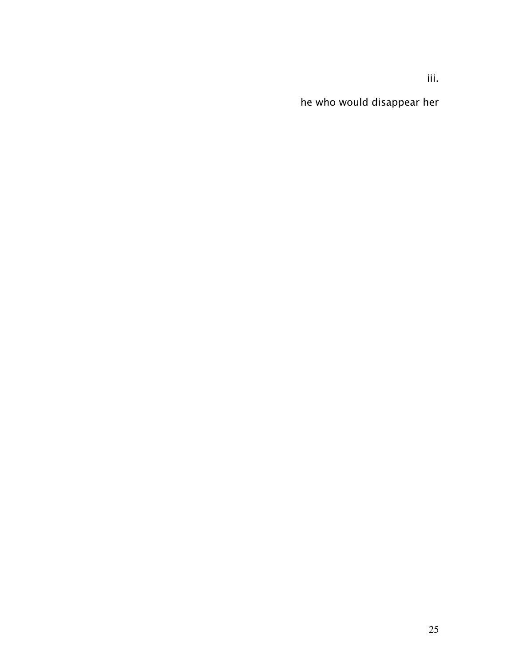he who would disappear her

iii.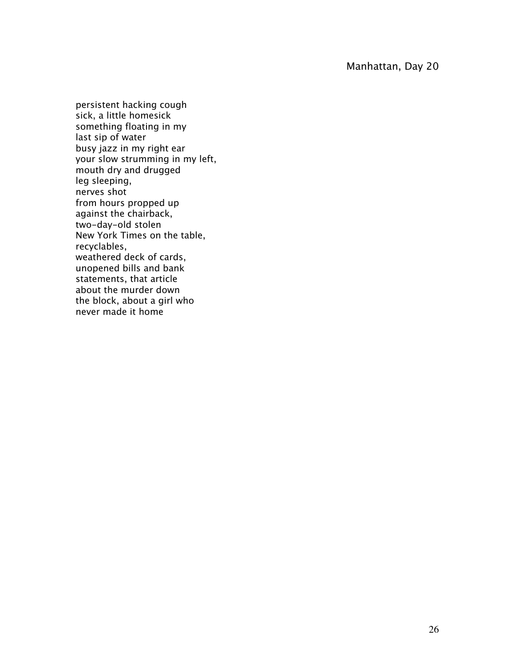persistent hacking cough sick, a little homesick something floating in my last sip of water busy jazz in my right ear your slow strumming in my left, mouth dry and drugged leg sleeping, nerves shot from hours propped up against the chairback, two-day-old stolen New York Times on the table, recyclables, weathered deck of cards, unopened bills and bank statements, that article about the murder down the block, about a girl who never made it home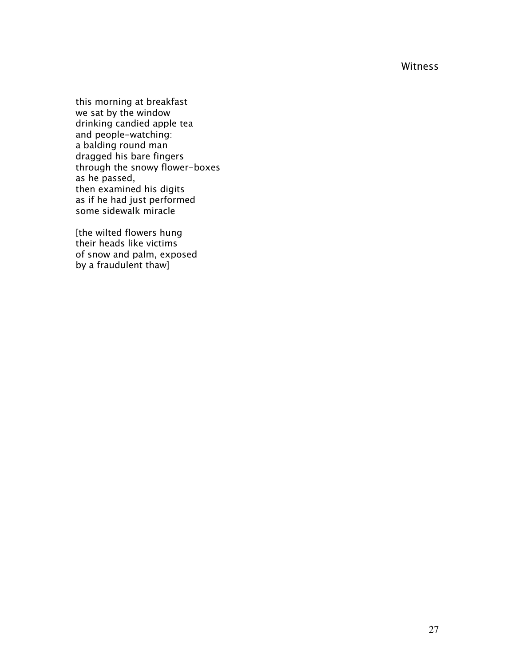Witness

this morning at breakfast we sat by the window drinking candied apple tea and people-watching: a balding round man dragged his bare fingers through the snowy flower-boxes as he passed, then examined his digits as if he had just performed some sidewalk miracle

[the wilted flowers hung their heads like victims of snow and palm, exposed by a fraudulent thaw]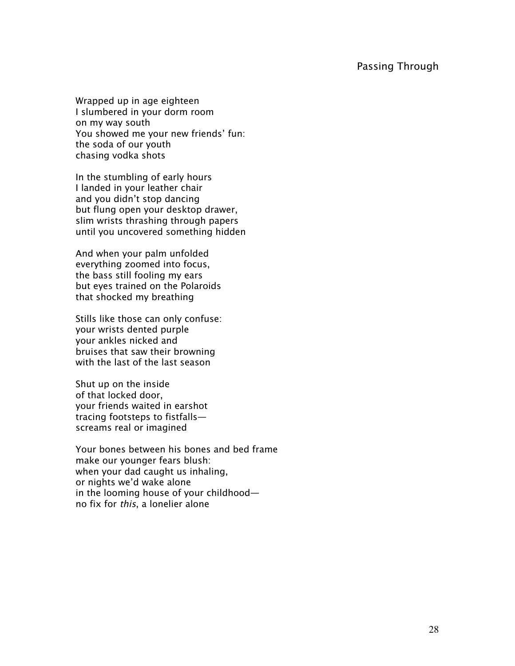#### Passing Through

Wrapped up in age eighteen I slumbered in your dorm room on my way south You showed me your new friends' fun: the soda of our youth chasing vodka shots

In the stumbling of early hours I landed in your leather chair and you didn't stop dancing but flung open your desktop drawer, slim wrists thrashing through papers until you uncovered something hidden

And when your palm unfolded everything zoomed into focus, the bass still fooling my ears but eyes trained on the Polaroids that shocked my breathing

Stills like those can only confuse: your wrists dented purple your ankles nicked and bruises that saw their browning with the last of the last season

Shut up on the inside of that locked door, your friends waited in earshot tracing footsteps to fistfalls screams real or imagined

Your bones between his bones and bed frame make our younger fears blush: when your dad caught us inhaling, or nights we'd wake alone in the looming house of your childhood no fix for this, a lonelier alone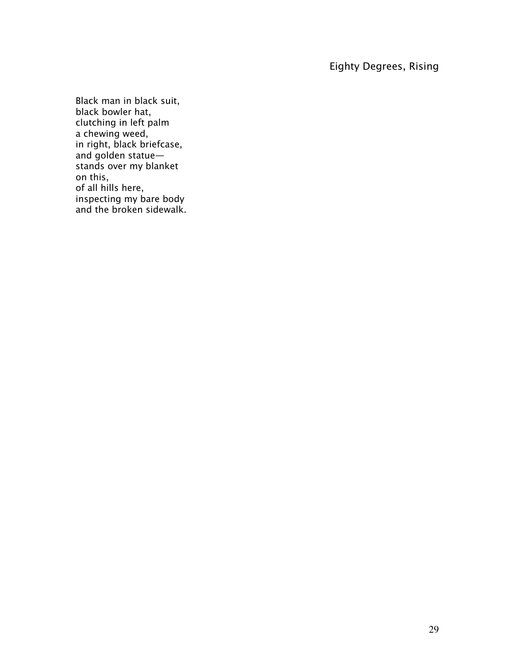## Eighty Degrees, Rising

Black man in black suit, black bowler hat, clutching in left palm a chewing weed, in right, black briefcase, and golden statue stands over my blanket on this, of all hills here, inspecting my bare body and the broken sidewalk.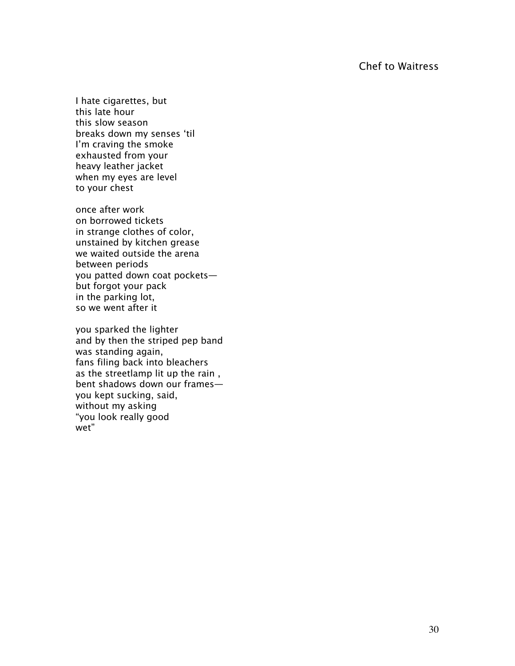## Chef to Waitress

I hate cigarettes, but this late hour this slow season breaks down my senses 'til I'm craving the smoke exhausted from your heavy leather jacket when my eyes are level to your chest

once after work on borrowed tickets in strange clothes of color, unstained by kitchen grease we waited outside the arena between periods you patted down coat pockets but forgot your pack in the parking lot, so we went after it

you sparked the lighter and by then the striped pep band was standing again, fans filing back into bleachers as the streetlamp lit up the rain , bent shadows down our frames you kept sucking, said, without my asking "you look really good wet"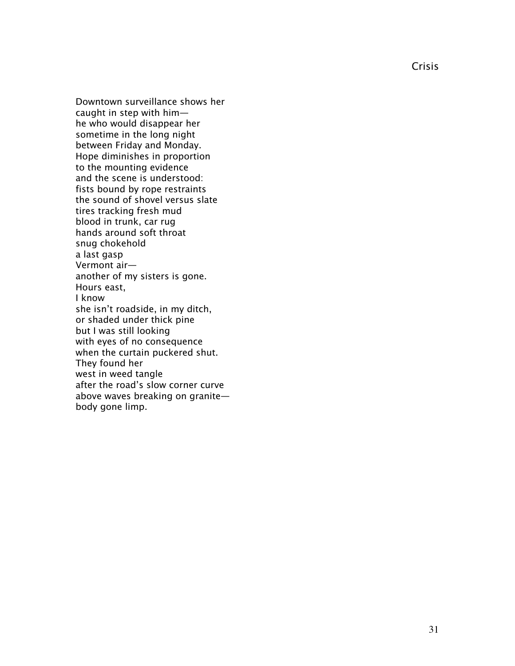Crisis

Downtown surveillance shows her caught in step with him he who would disappear her sometime in the long night between Friday and Monday. Hope diminishes in proportion to the mounting evidence and the scene is understood: fists bound by rope restraints the sound of shovel versus slate tires tracking fresh mud blood in trunk, car rug hands around soft throat snug chokehold a last gasp Vermont air another of my sisters is gone. Hours east, I know she isn't roadside, in my ditch, or shaded under thick pine but I was still looking with eyes of no consequence when the curtain puckered shut. They found her west in weed tangle after the road's slow corner curve above waves breaking on granite body gone limp.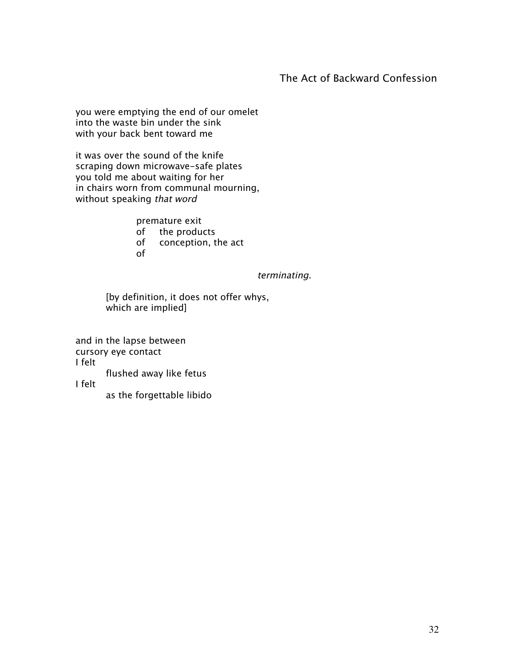## The Act of Backward Confession

you were emptying the end of our omelet into the waste bin under the sink with your back bent toward me

it was over the sound of the knife scraping down microwave-safe plates you told me about waiting for her in chairs worn from communal mourning, without speaking that word

> premature exit of the products

- 
- of conception, the act
- of

#### terminating.

[by definition, it does not offer whys, which are implied]

and in the lapse between cursory eye contact I felt flushed away like fetus I felt as the forgettable libido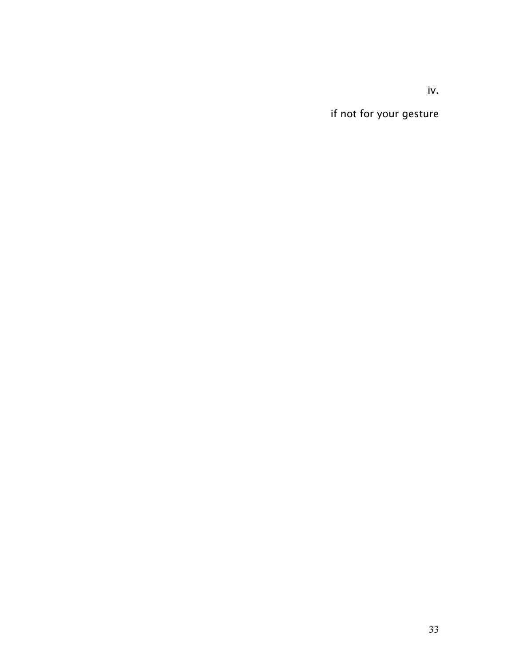iv.

if not for your gesture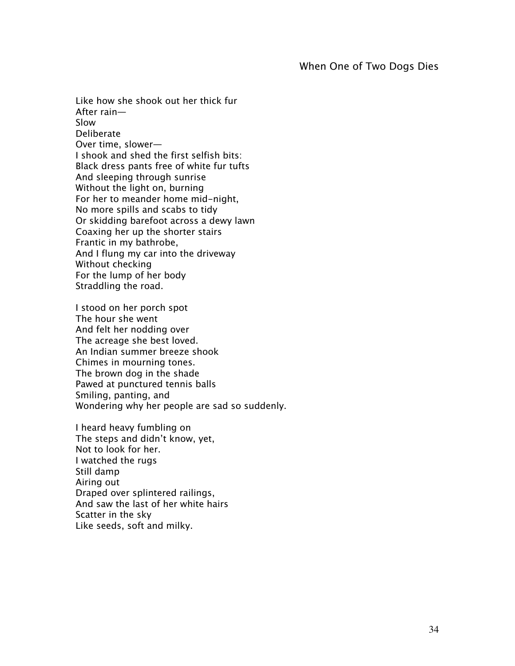Like how she shook out her thick fur After rain— Slow Deliberate Over time, slower— I shook and shed the first selfish bits: Black dress pants free of white fur tufts And sleeping through sunrise Without the light on, burning For her to meander home mid-night, No more spills and scabs to tidy Or skidding barefoot across a dewy lawn Coaxing her up the shorter stairs Frantic in my bathrobe, And I flung my car into the driveway Without checking For the lump of her body Straddling the road.

I stood on her porch spot The hour she went And felt her nodding over The acreage she best loved. An Indian summer breeze shook Chimes in mourning tones. The brown dog in the shade Pawed at punctured tennis balls Smiling, panting, and Wondering why her people are sad so suddenly.

I heard heavy fumbling on The steps and didn't know, yet, Not to look for her. I watched the rugs Still damp Airing out Draped over splintered railings, And saw the last of her white hairs Scatter in the sky Like seeds, soft and milky.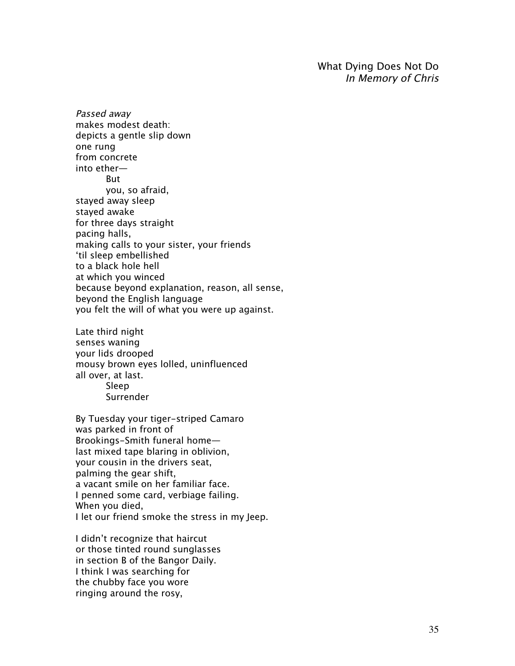What Dying Does Not Do In Memory of Chris

Passed away makes modest death: depicts a gentle slip down one rung from concrete into ether— But you, so afraid, stayed away sleep stayed awake for three days straight pacing halls, making calls to your sister, your friends 'til sleep embellished to a black hole hell at which you winced because beyond explanation, reason, all sense, beyond the English language you felt the will of what you were up against.

Late third night senses waning your lids drooped mousy brown eyes lolled, uninfluenced all over, at last. Sleep

Surrender

By Tuesday your tiger-striped Camaro was parked in front of Brookings-Smith funeral home last mixed tape blaring in oblivion, your cousin in the drivers seat, palming the gear shift, a vacant smile on her familiar face. I penned some card, verbiage failing. When you died, I let our friend smoke the stress in my Jeep.

I didn't recognize that haircut or those tinted round sunglasses in section B of the Bangor Daily. I think I was searching for the chubby face you wore ringing around the rosy,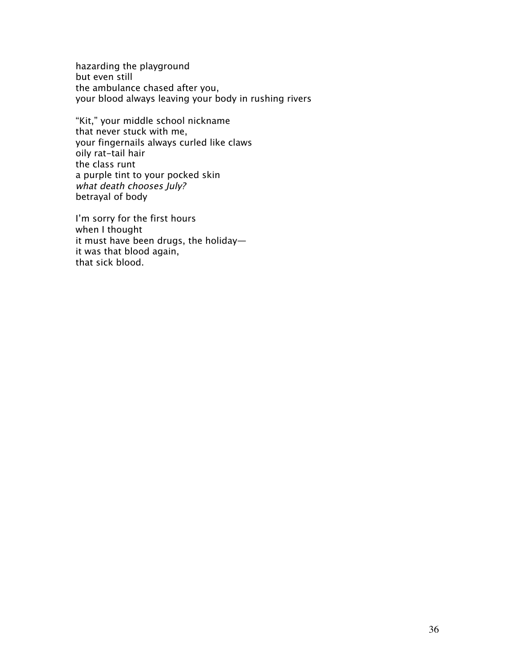hazarding the playground but even still the ambulance chased after you, your blood always leaving your body in rushing rivers

"Kit," your middle school nickname that never stuck with me, your fingernails always curled like claws oily rat-tail hair the class runt a purple tint to your pocked skin what death chooses July? betrayal of body

I'm sorry for the first hours when I thought it must have been drugs, the holiday it was that blood again, that sick blood.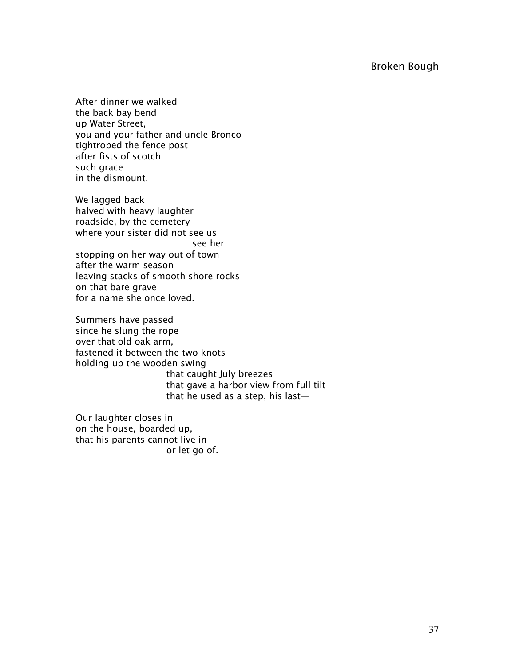# Broken Bough

After dinner we walked the back bay bend up Water Street, you and your father and uncle Bronco tightroped the fence post after fists of scotch such grace in the dismount.

We lagged back halved with heavy laughter roadside, by the cemetery where your sister did not see us see her stopping on her way out of town after the warm season leaving stacks of smooth shore rocks on that bare grave for a name she once loved.

Summers have passed since he slung the rope over that old oak arm, fastened it between the two knots holding up the wooden swing that caught July breezes that gave a harbor view from full tilt that he used as a step, his last—

Our laughter closes in on the house, boarded up, that his parents cannot live in or let go of.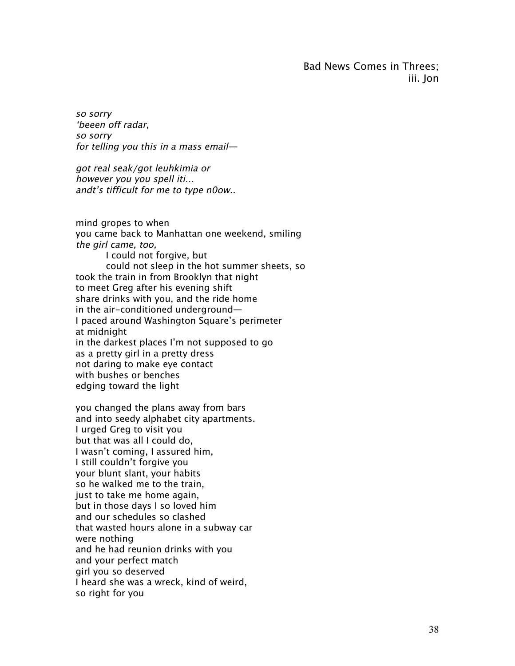Bad News Comes in Threes; iii. Jon

so sorry 'beeen off radar, so sorry for telling you this in a mass email—

got real seak/got leuhkimia or however you you spell iti… andt's tifficult for me to type n0ow..

mind gropes to when you came back to Manhattan one weekend, smiling the girl came, too, I could not forgive, but could not sleep in the hot summer sheets, so took the train in from Brooklyn that night to meet Greg after his evening shift share drinks with you, and the ride home in the air-conditioned underground— I paced around Washington Square's perimeter at midnight in the darkest places I'm not supposed to go as a pretty girl in a pretty dress not daring to make eye contact with bushes or benches edging toward the light

you changed the plans away from bars and into seedy alphabet city apartments. I urged Greg to visit you but that was all I could do, I wasn't coming, I assured him, I still couldn't forgive you your blunt slant, your habits so he walked me to the train, just to take me home again, but in those days I so loved him and our schedules so clashed that wasted hours alone in a subway car were nothing and he had reunion drinks with you and your perfect match girl you so deserved I heard she was a wreck, kind of weird, so right for you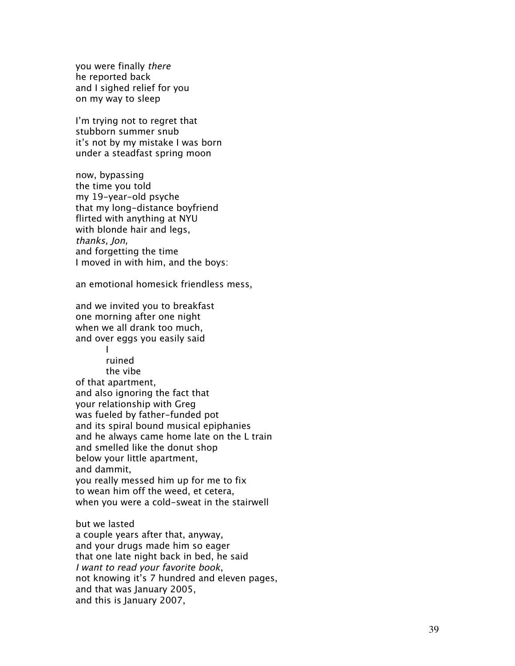you were finally there he reported back and I sighed relief for you on my way to sleep

I'm trying not to regret that stubborn summer snub it's not by my mistake I was born under a steadfast spring moon

now, bypassing the time you told my 19-year-old psyche that my long-distance boyfriend flirted with anything at NYU with blonde hair and legs, thanks, Jon, and forgetting the time I moved in with him, and the boys:

an emotional homesick friendless mess,

and we invited you to breakfast one morning after one night when we all drank too much, and over eggs you easily said

I

ruined the vibe of that apartment, and also ignoring the fact that your relationship with Greg was fueled by father-funded pot and its spiral bound musical epiphanies and he always came home late on the L train and smelled like the donut shop below your little apartment, and dammit, you really messed him up for me to fix to wean him off the weed, et cetera, when you were a cold-sweat in the stairwell

but we lasted a couple years after that, anyway, and your drugs made him so eager that one late night back in bed, he said I want to read your favorite book, not knowing it's 7 hundred and eleven pages, and that was January 2005, and this is January 2007,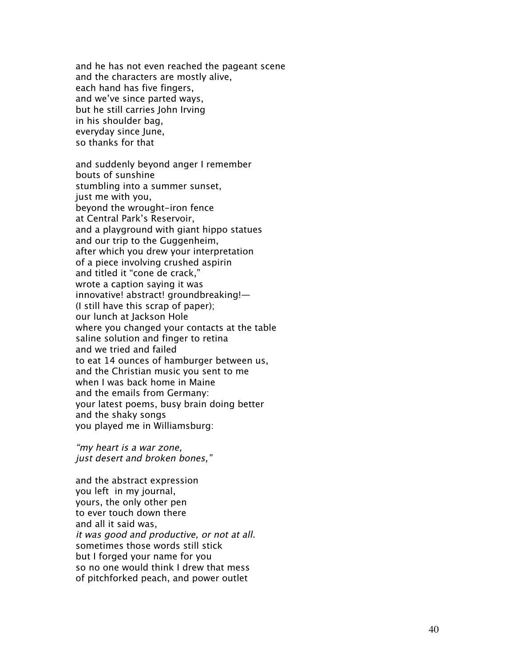and he has not even reached the pageant scene and the characters are mostly alive, each hand has five fingers, and we've since parted ways, but he still carries John Irving in his shoulder bag, everyday since June, so thanks for that

and suddenly beyond anger I remember bouts of sunshine stumbling into a summer sunset, just me with you, beyond the wrought-iron fence at Central Park's Reservoir, and a playground with giant hippo statues and our trip to the Guggenheim, after which you drew your interpretation of a piece involving crushed aspirin and titled it "cone de crack," wrote a caption saying it was innovative! abstract! groundbreaking!— (I still have this scrap of paper); our lunch at Jackson Hole where you changed your contacts at the table saline solution and finger to retina and we tried and failed to eat 14 ounces of hamburger between us, and the Christian music you sent to me when I was back home in Maine and the emails from Germany: your latest poems, busy brain doing better and the shaky songs you played me in Williamsburg:

"my heart is a war zone, just desert and broken bones,"

and the abstract expression you left in my journal, yours, the only other pen to ever touch down there and all it said was, it was good and productive, or not at all. sometimes those words still stick but I forged your name for you so no one would think I drew that mess of pitchforked peach, and power outlet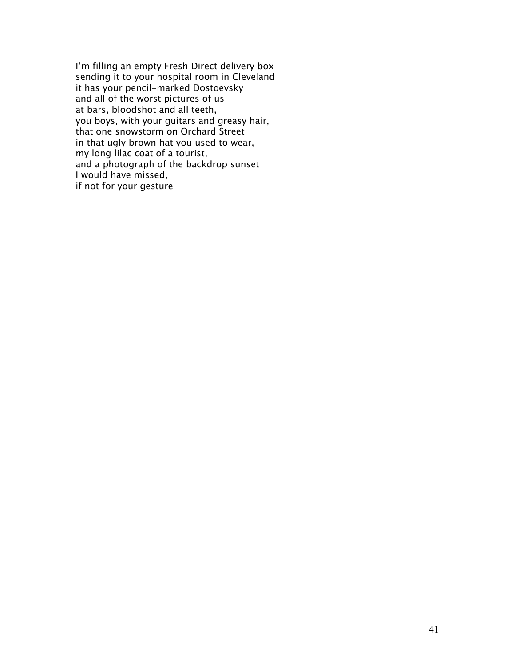I'm filling an empty Fresh Direct delivery box sending it to your hospital room in Cleveland it has your pencil-marked Dostoevsky and all of the worst pictures of us at bars, bloodshot and all teeth, you boys, with your guitars and greasy hair, that one snowstorm on Orchard Street in that ugly brown hat you used to wear, my long lilac coat of a tourist, and a photograph of the backdrop sunset I would have missed, if not for your gesture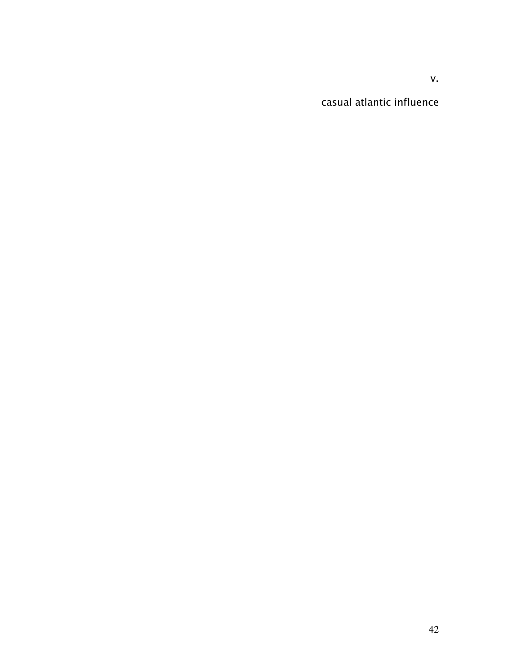v.

casual atlantic influence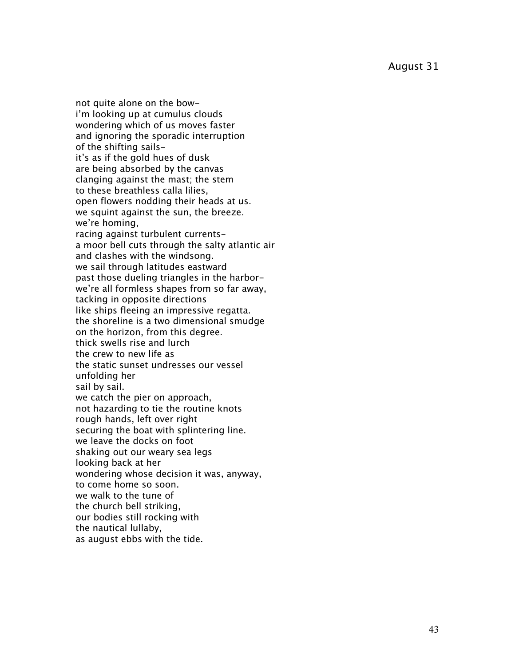August 31

not quite alone on the bowi'm looking up at cumulus clouds wondering which of us moves faster and ignoring the sporadic interruption of the shifting sailsit's as if the gold hues of dusk are being absorbed by the canvas clanging against the mast; the stem to these breathless calla lilies, open flowers nodding their heads at us. we squint against the sun, the breeze. we're homing, racing against turbulent currentsa moor bell cuts through the salty atlantic air and clashes with the windsong. we sail through latitudes eastward past those dueling triangles in the harborwe're all formless shapes from so far away, tacking in opposite directions like ships fleeing an impressive regatta. the shoreline is a two dimensional smudge on the horizon, from this degree. thick swells rise and lurch the crew to new life as the static sunset undresses our vessel unfolding her sail by sail. we catch the pier on approach, not hazarding to tie the routine knots rough hands, left over right securing the boat with splintering line. we leave the docks on foot shaking out our weary sea legs looking back at her wondering whose decision it was, anyway, to come home so soon. we walk to the tune of the church bell striking, our bodies still rocking with the nautical lullaby, as august ebbs with the tide.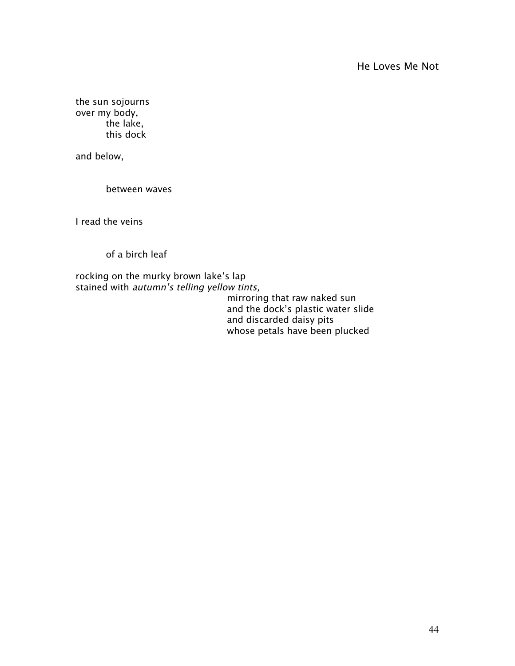the sun sojourns over my body, the lake, this dock

and below,

between waves

I read the veins

of a birch leaf

rocking on the murky brown lake's lap stained with *autumn's telling yellow tints*,

mirroring that raw naked sun and the dock's plastic water slide and discarded daisy pits whose petals have been plucked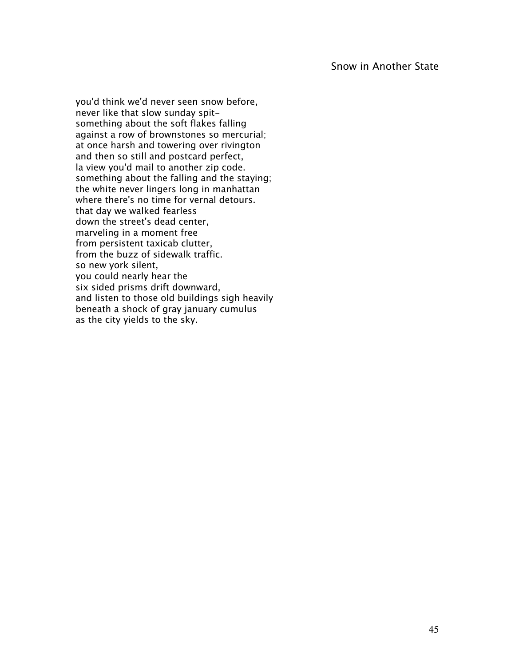you'd think we'd never seen snow before, never like that slow sunday spitsomething about the soft flakes falling against a row of brownstones so mercurial; at once harsh and towering over rivington and then so still and postcard perfect, la view you'd mail to another zip code. something about the falling and the staying; the white never lingers long in manhattan where there's no time for vernal detours. that day we walked fearless down the street's dead center, marveling in a moment free from persistent taxicab clutter, from the buzz of sidewalk traffic. so new york silent, you could nearly hear the six sided prisms drift downward, and listen to those old buildings sigh heavily beneath a shock of gray january cumulus as the city yields to the sky.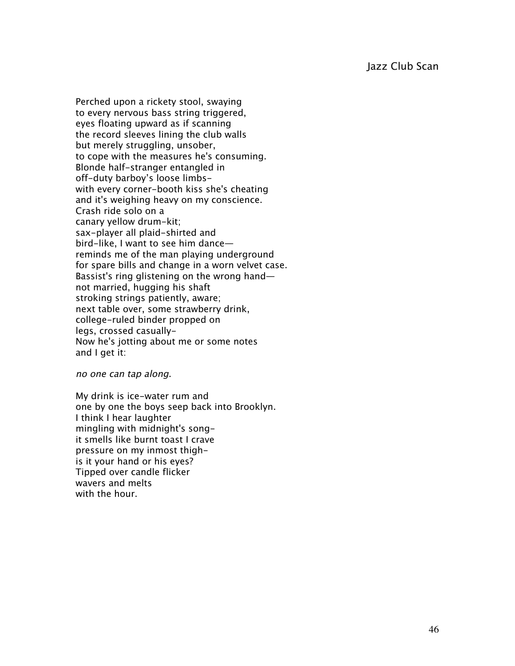Perched upon a rickety stool, swaying to every nervous bass string triggered, eyes floating upward as if scanning the record sleeves lining the club walls but merely struggling, unsober, to cope with the measures he's consuming. Blonde half-stranger entangled in off-duty barboy's loose limbswith every corner-booth kiss she's cheating and it's weighing heavy on my conscience. Crash ride solo on a canary yellow drum-kit; sax-player all plaid-shirted and bird-like, I want to see him dance reminds me of the man playing underground for spare bills and change in a worn velvet case. Bassist's ring glistening on the wrong hand not married, hugging his shaft stroking strings patiently, aware; next table over, some strawberry drink, college-ruled binder propped on legs, crossed casually-Now he's jotting about me or some notes and I get it:

no one can tap along.

My drink is ice-water rum and one by one the boys seep back into Brooklyn. I think I hear laughter mingling with midnight's songit smells like burnt toast I crave pressure on my inmost thighis it your hand or his eyes? Tipped over candle flicker wavers and melts with the hour.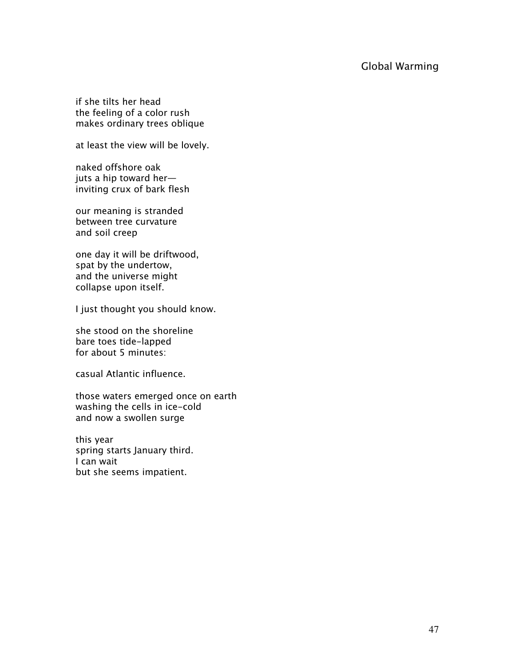# Global Warming

if she tilts her head the feeling of a color rush makes ordinary trees oblique

at least the view will be lovely.

naked offshore oak juts a hip toward her inviting crux of bark flesh

our meaning is stranded between tree curvature and soil creep

one day it will be driftwood, spat by the undertow, and the universe might collapse upon itself.

I just thought you should know.

she stood on the shoreline bare toes tide-lapped for about 5 minutes:

casual Atlantic influence.

those waters emerged once on earth washing the cells in ice-cold and now a swollen surge

this year spring starts January third. I can wait but she seems impatient.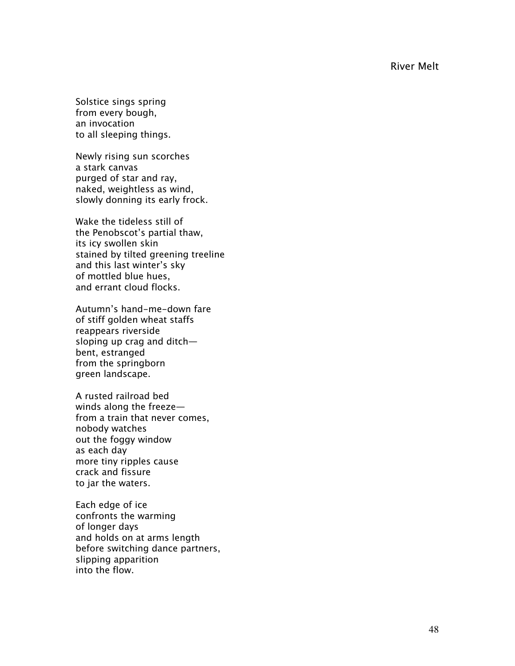River Melt

Solstice sings spring from every bough, an invocation to all sleeping things.

Newly rising sun scorches a stark canvas purged of star and ray, naked, weightless as wind, slowly donning its early frock.

Wake the tideless still of the Penobscot's partial thaw, its icy swollen skin stained by tilted greening treeline and this last winter's sky of mottled blue hues, and errant cloud flocks.

Autumn's hand-me-down fare of stiff golden wheat staffs reappears riverside sloping up crag and ditch bent, estranged from the springborn green landscape.

A rusted railroad bed winds along the freeze from a train that never comes, nobody watches out the foggy window as each day more tiny ripples cause crack and fissure to jar the waters.

Each edge of ice confronts the warming of longer days and holds on at arms length before switching dance partners, slipping apparition into the flow.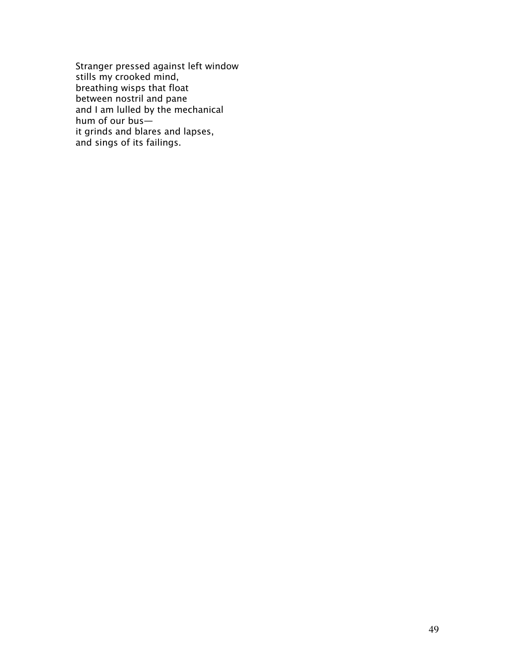Stranger pressed against left window stills my crooked mind, breathing wisps that float between nostril and pane and I am lulled by the mechanical hum of our bus it grinds and blares and lapses, and sings of its failings.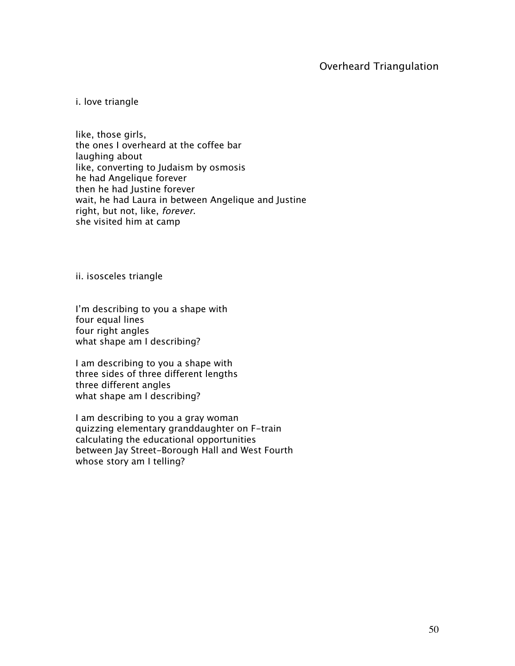# Overheard Triangulation

i. love triangle

like, those girls, the ones I overheard at the coffee bar laughing about like, converting to Judaism by osmosis he had Angelique forever then he had Justine forever wait, he had Laura in between Angelique and Justine right, but not, like, forever. she visited him at camp

ii. isosceles triangle

I'm describing to you a shape with four equal lines four right angles what shape am I describing?

I am describing to you a shape with three sides of three different lengths three different angles what shape am I describing?

I am describing to you a gray woman quizzing elementary granddaughter on F-train calculating the educational opportunities between Jay Street-Borough Hall and West Fourth whose story am I telling?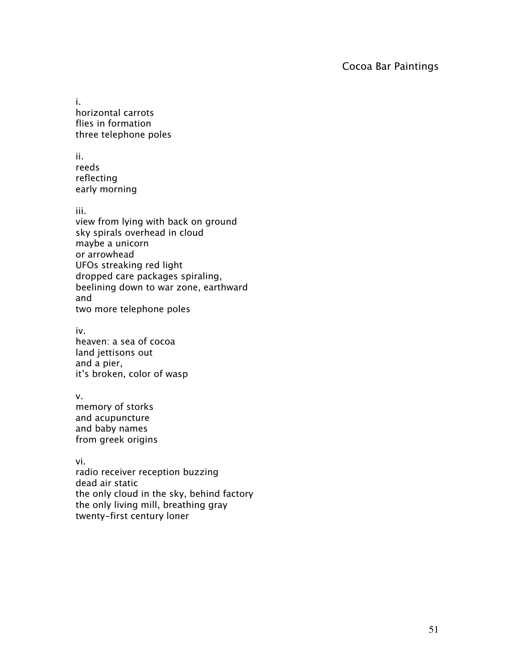# Cocoa Bar Paintings

i. horizontal carrots flies in formation three telephone poles

ii. reeds reflecting early morning

iii.

view from lying with back on ground sky spirals overhead in cloud maybe a unicorn or arrowhead UFOs streaking red light dropped care packages spiraling, beelining down to war zone, earthward and two more telephone poles

iv.

heaven: a sea of cocoa land jettisons out and a pier, it's broken, color of wasp

v.

memory of storks and acupuncture and baby names from greek origins

vi. radio receiver reception buzzing dead air static the only cloud in the sky, behind factory the only living mill, breathing gray twenty-first century loner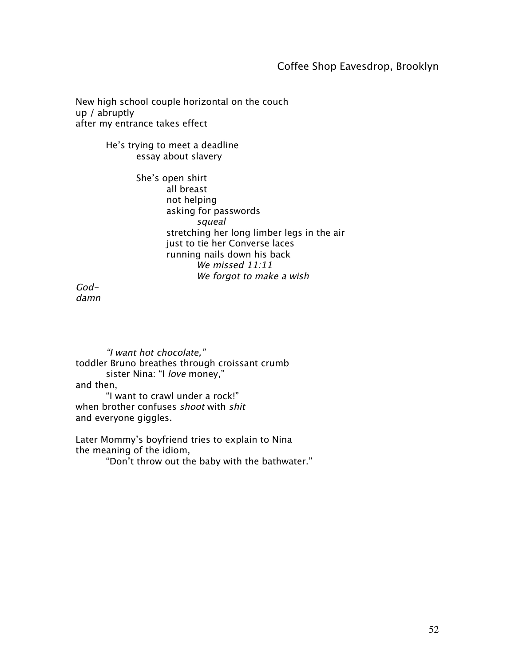# Coffee Shop Eavesdrop, Brooklyn

New high school couple horizontal on the couch up / abruptly after my entrance takes effect

> He's trying to meet a deadline essay about slavery

> > She's open shirt all breast not helping asking for passwords squeal stretching her long limber legs in the air just to tie her Converse laces running nails down his back We missed 11:11 We forgot to make a wish

Goddamn

"I want hot chocolate," toddler Bruno breathes through croissant crumb sister Nina: "I love money," and then, "I want to crawl under a rock!" when brother confuses shoot with shit

and everyone giggles.

Later Mommy's boyfriend tries to explain to Nina the meaning of the idiom,

"Don't throw out the baby with the bathwater."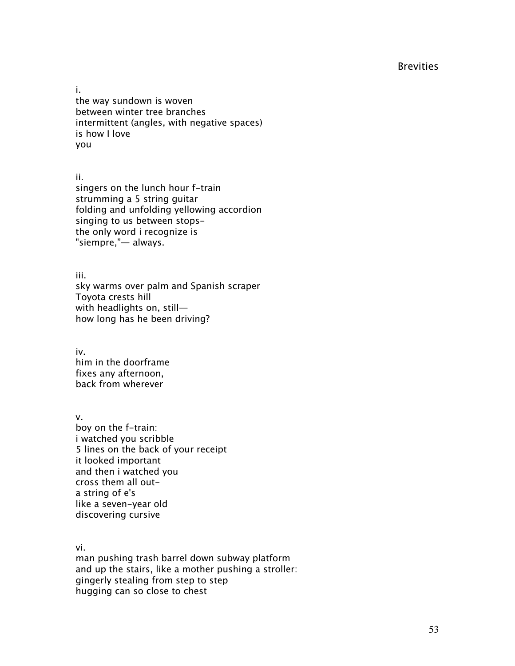# **Brevities**

i. the way sundown is woven between winter tree branches intermittent (angles, with negative spaces) is how I love you

ii.

singers on the lunch hour f-train strumming a 5 string guitar folding and unfolding yellowing accordion singing to us between stopsthe only word i recognize is "siempre,"— always.

iii.

sky warms over palm and Spanish scraper Toyota crests hill with headlights on, still how long has he been driving?

iv. him in the doorframe fixes any afternoon, back from wherever

v. boy on the f-train: i watched you scribble 5 lines on the back of your receipt it looked important and then i watched you cross them all outa string of e's like a seven-year old discovering cursive

vi.

man pushing trash barrel down subway platform and up the stairs, like a mother pushing a stroller: gingerly stealing from step to step hugging can so close to chest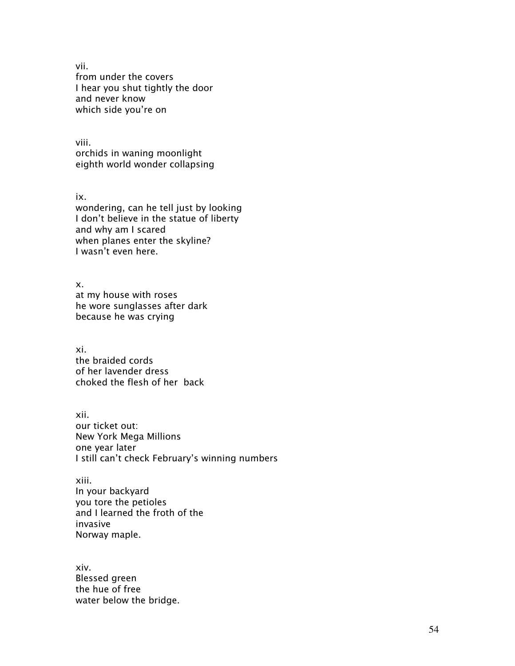vii. from under the covers I hear you shut tightly the door and never know which side you're on

viii. orchids in waning moonlight eighth world wonder collapsing

ix. wondering, can he tell just by looking I don't believe in the statue of liberty and why am I scared when planes enter the skyline? I wasn't even here.

x. at my house with roses he wore sunglasses after dark because he was crying

xi. the braided cords of her lavender dress choked the flesh of her back

xii. our ticket out: New York Mega Millions one year later I still can't check February's winning numbers

xiii. In your backyard you tore the petioles and I learned the froth of the invasive Norway maple.

xiv. Blessed green the hue of free water below the bridge.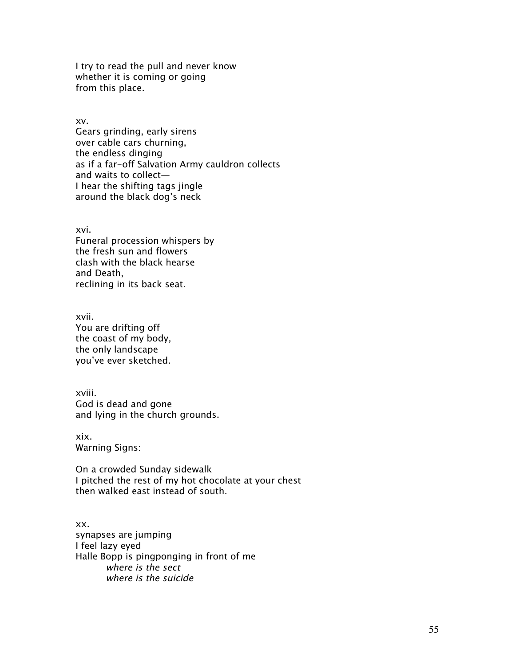I try to read the pull and never know whether it is coming or going from this place.

xv.

Gears grinding, early sirens over cable cars churning, the endless dinging as if a far-off Salvation Army cauldron collects and waits to collect— I hear the shifting tags jingle around the black dog's neck

xvi.

Funeral procession whispers by the fresh sun and flowers clash with the black hearse and Death, reclining in its back seat.

xvii. You are drifting off the coast of my body, the only landscape you've ever sketched.

xviii. God is dead and gone and lying in the church grounds.

xix. Warning Signs:

On a crowded Sunday sidewalk I pitched the rest of my hot chocolate at your chest then walked east instead of south.

xx. synapses are jumping I feel lazy eyed Halle Bopp is pingponging in front of me where is the sect where is the suicide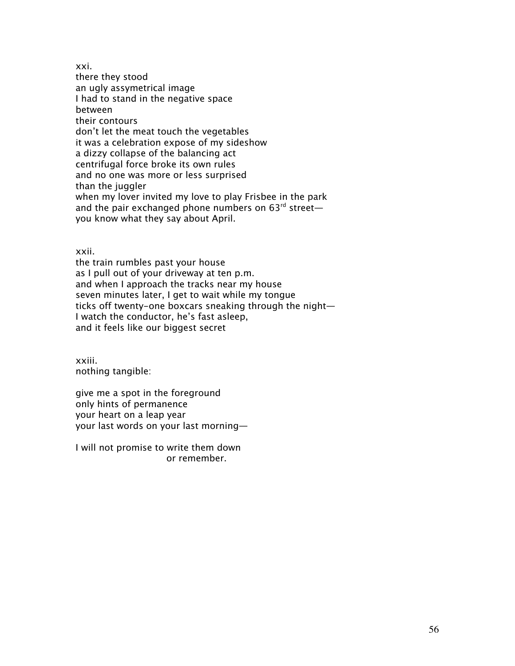xxi. there they stood an ugly assymetrical image I had to stand in the negative space between their contours don't let the meat touch the vegetables it was a celebration expose of my sideshow a dizzy collapse of the balancing act centrifugal force broke its own rules and no one was more or less surprised than the juggler when my lover invited my love to play Frisbee in the park and the pair exchanged phone numbers on  $63^{rd}$  street you know what they say about April.

xxii.

the train rumbles past your house as I pull out of your driveway at ten p.m. and when I approach the tracks near my house seven minutes later, I get to wait while my tongue ticks off twenty-one boxcars sneaking through the night— I watch the conductor, he's fast asleep, and it feels like our biggest secret

xxiii. nothing tangible:

give me a spot in the foreground only hints of permanence your heart on a leap year your last words on your last morning—

I will not promise to write them down or remember.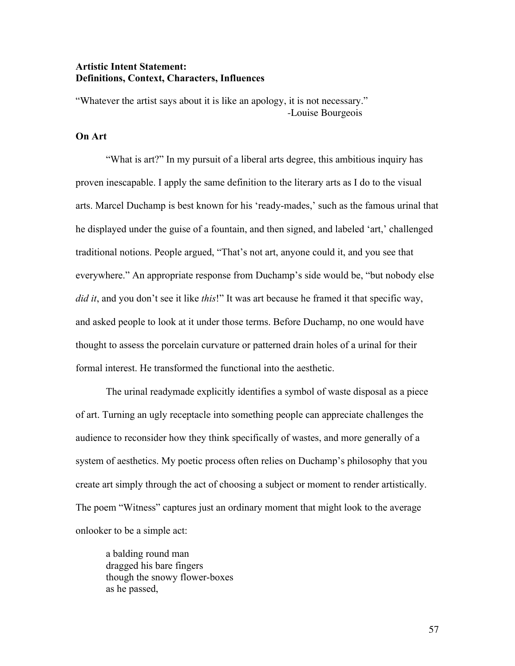## Artistic Intent Statement: Definitions, Context, Characters, Influences

"Whatever the artist says about it is like an apology, it is not necessary." -Louise Bourgeois

# On Art

"What is art?" In my pursuit of a liberal arts degree, this ambitious inquiry has proven inescapable. I apply the same definition to the literary arts as I do to the visual arts. Marcel Duchamp is best known for his 'ready-mades,' such as the famous urinal that he displayed under the guise of a fountain, and then signed, and labeled 'art,' challenged traditional notions. People argued, "That's not art, anyone could it, and you see that everywhere." An appropriate response from Duchamp's side would be, "but nobody else *did it*, and you don't see it like *this*!" It was art because he framed it that specific way, and asked people to look at it under those terms. Before Duchamp, no one would have thought to assess the porcelain curvature or patterned drain holes of a urinal for their formal interest. He transformed the functional into the aesthetic.

The urinal readymade explicitly identifies a symbol of waste disposal as a piece of art. Turning an ugly receptacle into something people can appreciate challenges the audience to reconsider how they think specifically of wastes, and more generally of a system of aesthetics. My poetic process often relies on Duchamp's philosophy that you create art simply through the act of choosing a subject or moment to render artistically. The poem "Witness" captures just an ordinary moment that might look to the average onlooker to be a simple act:

a balding round man dragged his bare fingers though the snowy flower-boxes as he passed,

57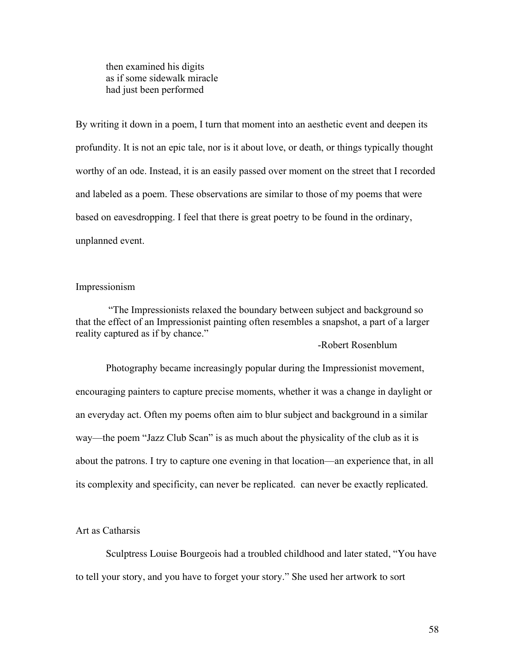then examined his digits as if some sidewalk miracle had just been performed

By writing it down in a poem, I turn that moment into an aesthetic event and deepen its profundity. It is not an epic tale, nor is it about love, or death, or things typically thought worthy of an ode. Instead, it is an easily passed over moment on the street that I recorded and labeled as a poem. These observations are similar to those of my poems that were based on eavesdropping. I feel that there is great poetry to be found in the ordinary, unplanned event.

### Impressionism

 "The Impressionists relaxed the boundary between subject and background so that the effect of an Impressionist painting often resembles a snapshot, a part of a larger reality captured as if by chance."

-Robert Rosenblum

Photography became increasingly popular during the Impressionist movement, encouraging painters to capture precise moments, whether it was a change in daylight or an everyday act. Often my poems often aim to blur subject and background in a similar way—the poem "Jazz Club Scan" is as much about the physicality of the club as it is about the patrons. I try to capture one evening in that location—an experience that, in all its complexity and specificity, can never be replicated. can never be exactly replicated.

### Art as Catharsis

Sculptress Louise Bourgeois had a troubled childhood and later stated, "You have to tell your story, and you have to forget your story." She used her artwork to sort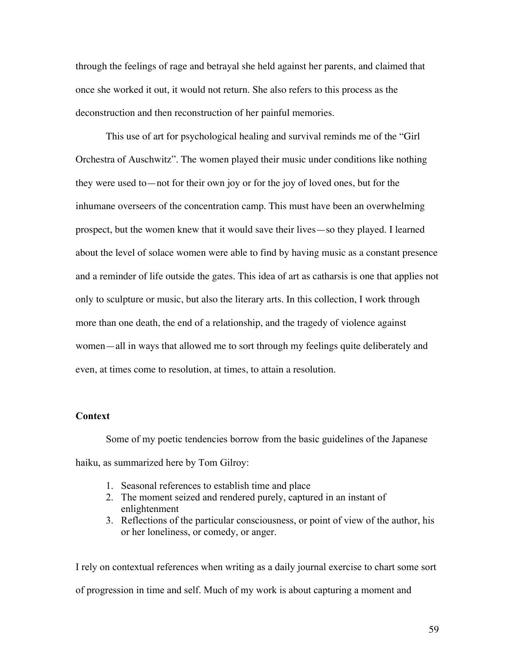through the feelings of rage and betrayal she held against her parents, and claimed that once she worked it out, it would not return. She also refers to this process as the deconstruction and then reconstruction of her painful memories.

This use of art for psychological healing and survival reminds me of the "Girl Orchestra of Auschwitz". The women played their music under conditions like nothing they were used to—not for their own joy or for the joy of loved ones, but for the inhumane overseers of the concentration camp. This must have been an overwhelming prospect, but the women knew that it would save their lives—so they played. I learned about the level of solace women were able to find by having music as a constant presence and a reminder of life outside the gates. This idea of art as catharsis is one that applies not only to sculpture or music, but also the literary arts. In this collection, I work through more than one death, the end of a relationship, and the tragedy of violence against women—all in ways that allowed me to sort through my feelings quite deliberately and even, at times come to resolution, at times, to attain a resolution.

## **Context**

Some of my poetic tendencies borrow from the basic guidelines of the Japanese haiku, as summarized here by Tom Gilroy:

- 1. Seasonal references to establish time and place
- 2. The moment seized and rendered purely, captured in an instant of enlightenment
- 3. Reflections of the particular consciousness, or point of view of the author, his or her loneliness, or comedy, or anger.

I rely on contextual references when writing as a daily journal exercise to chart some sort of progression in time and self. Much of my work is about capturing a moment and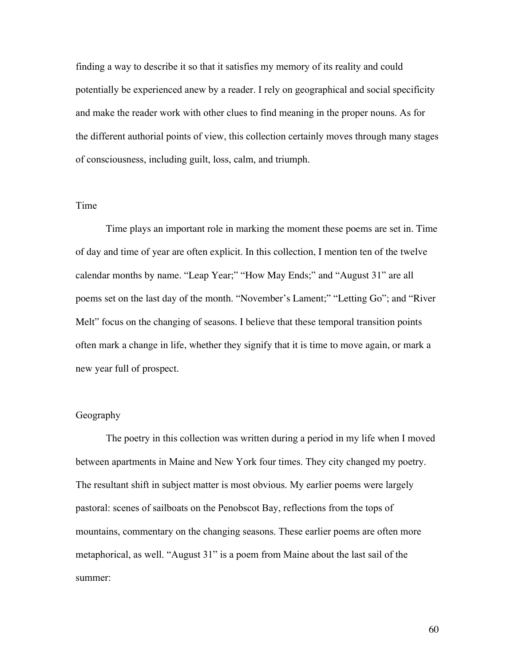finding a way to describe it so that it satisfies my memory of its reality and could potentially be experienced anew by a reader. I rely on geographical and social specificity and make the reader work with other clues to find meaning in the proper nouns. As for the different authorial points of view, this collection certainly moves through many stages of consciousness, including guilt, loss, calm, and triumph.

# Time

Time plays an important role in marking the moment these poems are set in. Time of day and time of year are often explicit. In this collection, I mention ten of the twelve calendar months by name. "Leap Year;" "How May Ends;" and "August 31" are all poems set on the last day of the month. "November's Lament;" "Letting Go"; and "River Melt" focus on the changing of seasons. I believe that these temporal transition points often mark a change in life, whether they signify that it is time to move again, or mark a new year full of prospect.

## Geography

The poetry in this collection was written during a period in my life when I moved between apartments in Maine and New York four times. They city changed my poetry. The resultant shift in subject matter is most obvious. My earlier poems were largely pastoral: scenes of sailboats on the Penobscot Bay, reflections from the tops of mountains, commentary on the changing seasons. These earlier poems are often more metaphorical, as well. "August 31" is a poem from Maine about the last sail of the summer:

60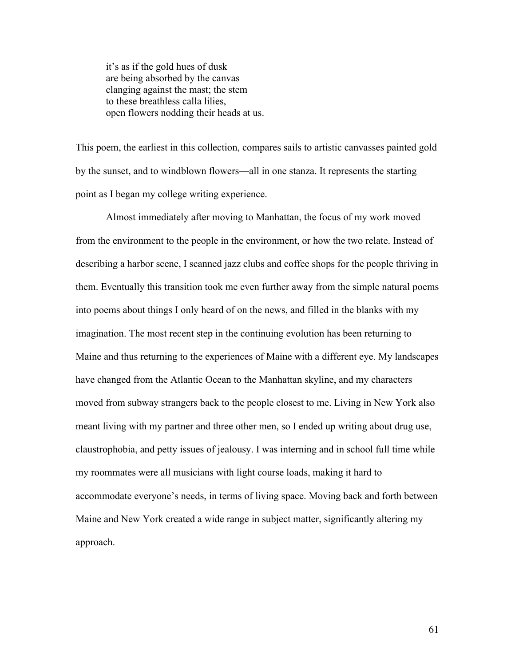it's as if the gold hues of dusk are being absorbed by the canvas clanging against the mast; the stem to these breathless calla lilies, open flowers nodding their heads at us.

This poem, the earliest in this collection, compares sails to artistic canvasses painted gold by the sunset, and to windblown flowers—all in one stanza. It represents the starting point as I began my college writing experience.

Almost immediately after moving to Manhattan, the focus of my work moved from the environment to the people in the environment, or how the two relate. Instead of describing a harbor scene, I scanned jazz clubs and coffee shops for the people thriving in them. Eventually this transition took me even further away from the simple natural poems into poems about things I only heard of on the news, and filled in the blanks with my imagination. The most recent step in the continuing evolution has been returning to Maine and thus returning to the experiences of Maine with a different eye. My landscapes have changed from the Atlantic Ocean to the Manhattan skyline, and my characters moved from subway strangers back to the people closest to me. Living in New York also meant living with my partner and three other men, so I ended up writing about drug use, claustrophobia, and petty issues of jealousy. I was interning and in school full time while my roommates were all musicians with light course loads, making it hard to accommodate everyone's needs, in terms of living space. Moving back and forth between Maine and New York created a wide range in subject matter, significantly altering my approach.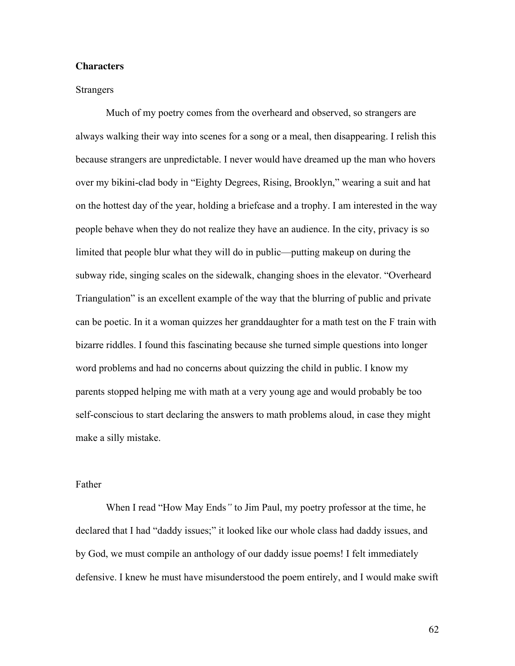### **Characters**

#### **Strangers**

Much of my poetry comes from the overheard and observed, so strangers are always walking their way into scenes for a song or a meal, then disappearing. I relish this because strangers are unpredictable. I never would have dreamed up the man who hovers over my bikini-clad body in "Eighty Degrees, Rising, Brooklyn," wearing a suit and hat on the hottest day of the year, holding a briefcase and a trophy. I am interested in the way people behave when they do not realize they have an audience. In the city, privacy is so limited that people blur what they will do in public—putting makeup on during the subway ride, singing scales on the sidewalk, changing shoes in the elevator. "Overheard Triangulation" is an excellent example of the way that the blurring of public and private can be poetic. In it a woman quizzes her granddaughter for a math test on the F train with bizarre riddles. I found this fascinating because she turned simple questions into longer word problems and had no concerns about quizzing the child in public. I know my parents stopped helping me with math at a very young age and would probably be too self-conscious to start declaring the answers to math problems aloud, in case they might make a silly mistake.

#### Father

When I read "How May Ends*"* to Jim Paul, my poetry professor at the time, he declared that I had "daddy issues;" it looked like our whole class had daddy issues, and by God, we must compile an anthology of our daddy issue poems! I felt immediately defensive. I knew he must have misunderstood the poem entirely, and I would make swift

62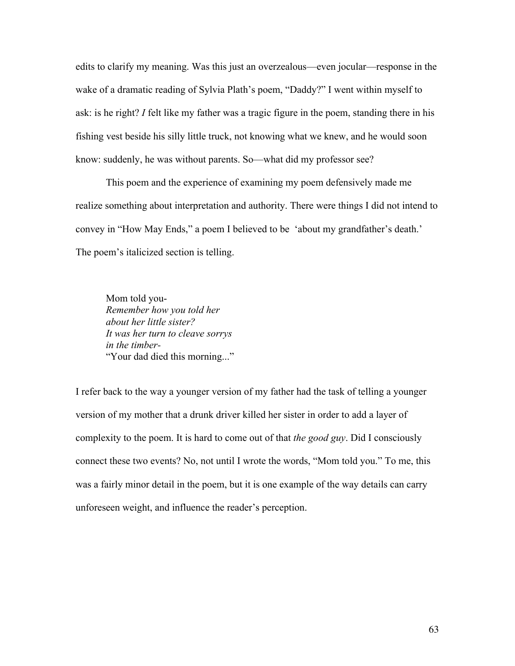edits to clarify my meaning. Was this just an overzealous—even jocular—response in the wake of a dramatic reading of Sylvia Plath's poem, "Daddy?" I went within myself to ask: is he right? *I* felt like my father was a tragic figure in the poem, standing there in his fishing vest beside his silly little truck, not knowing what we knew, and he would soon know: suddenly, he was without parents. So—what did my professor see?

This poem and the experience of examining my poem defensively made me realize something about interpretation and authority. There were things I did not intend to convey in "How May Ends," a poem I believed to be 'about my grandfather's death.' The poem's italicized section is telling.

Mom told you-*Remember how you told her about her little sister? It was her turn to cleave sorrys in the timber-* "Your dad died this morning..."

I refer back to the way a younger version of my father had the task of telling a younger version of my mother that a drunk driver killed her sister in order to add a layer of complexity to the poem. It is hard to come out of that *the good guy*. Did I consciously connect these two events? No, not until I wrote the words, "Mom told you." To me, this was a fairly minor detail in the poem, but it is one example of the way details can carry unforeseen weight, and influence the reader's perception.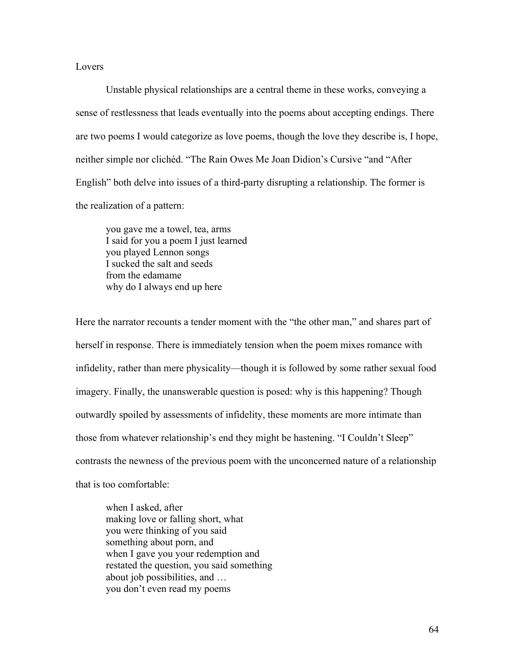### Lovers

Unstable physical relationships are a central theme in these works, conveying a sense of restlessness that leads eventually into the poems about accepting endings. There are two poems I would categorize as love poems, though the love they describe is, I hope, neither simple nor clichéd. "The Rain Owes Me Joan Didion's Cursive "and "After English" both delve into issues of a third-party disrupting a relationship. The former is the realization of a pattern:

you gave me a towel, tea, arms I said for you a poem I just learned you played Lennon songs I sucked the salt and seeds from the edamame why do I always end up here

Here the narrator recounts a tender moment with the "the other man," and shares part of herself in response. There is immediately tension when the poem mixes romance with infidelity, rather than mere physicality—though it is followed by some rather sexual food imagery. Finally, the unanswerable question is posed: why is this happening? Though outwardly spoiled by assessments of infidelity, these moments are more intimate than those from whatever relationship's end they might be hastening. "I Couldn't Sleep" contrasts the newness of the previous poem with the unconcerned nature of a relationship that is too comfortable:

when I asked, after making love or falling short, what you were thinking of you said something about porn, and when I gave you your redemption and restated the question, you said something about job possibilities, and … you don't even read my poems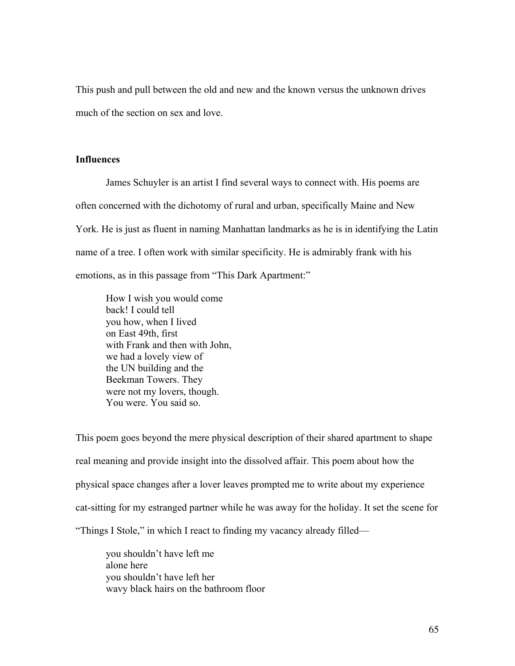This push and pull between the old and new and the known versus the unknown drives much of the section on sex and love.

### **Influences**

James Schuyler is an artist I find several ways to connect with. His poems are often concerned with the dichotomy of rural and urban, specifically Maine and New York. He is just as fluent in naming Manhattan landmarks as he is in identifying the Latin name of a tree. I often work with similar specificity. He is admirably frank with his emotions, as in this passage from "This Dark Apartment:"

How I wish you would come back! I could tell you how, when I lived on East 49th, first with Frank and then with John, we had a lovely view of the UN building and the Beekman Towers. They were not my lovers, though. You were. You said so.

This poem goes beyond the mere physical description of their shared apartment to shape real meaning and provide insight into the dissolved affair. This poem about how the physical space changes after a lover leaves prompted me to write about my experience cat-sitting for my estranged partner while he was away for the holiday. It set the scene for "Things I Stole," in which I react to finding my vacancy already filled—

you shouldn't have left me alone here you shouldn't have left her wavy black hairs on the bathroom floor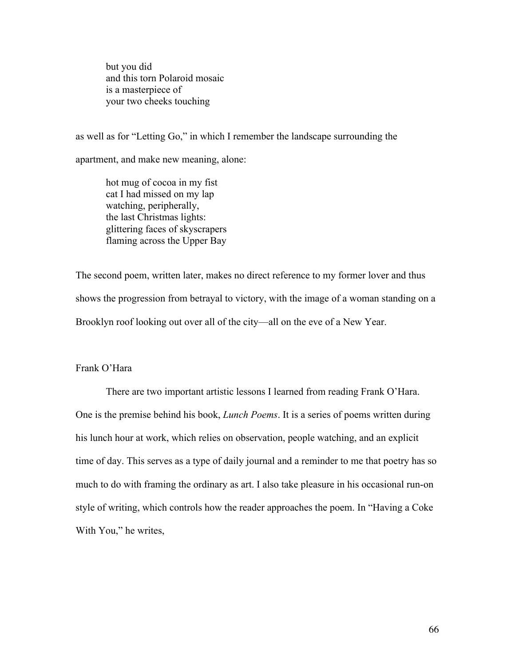but you did and this torn Polaroid mosaic is a masterpiece of your two cheeks touching

as well as for "Letting Go," in which I remember the landscape surrounding the

apartment, and make new meaning, alone:

hot mug of cocoa in my fist cat I had missed on my lap watching, peripherally, the last Christmas lights: glittering faces of skyscrapers flaming across the Upper Bay

The second poem, written later, makes no direct reference to my former lover and thus shows the progression from betrayal to victory, with the image of a woman standing on a Brooklyn roof looking out over all of the city—all on the eve of a New Year.

# Frank O'Hara

There are two important artistic lessons I learned from reading Frank O'Hara. One is the premise behind his book, *Lunch Poems*. It is a series of poems written during his lunch hour at work, which relies on observation, people watching, and an explicit time of day. This serves as a type of daily journal and a reminder to me that poetry has so much to do with framing the ordinary as art. I also take pleasure in his occasional run-on style of writing, which controls how the reader approaches the poem. In "Having a Coke With You," he writes,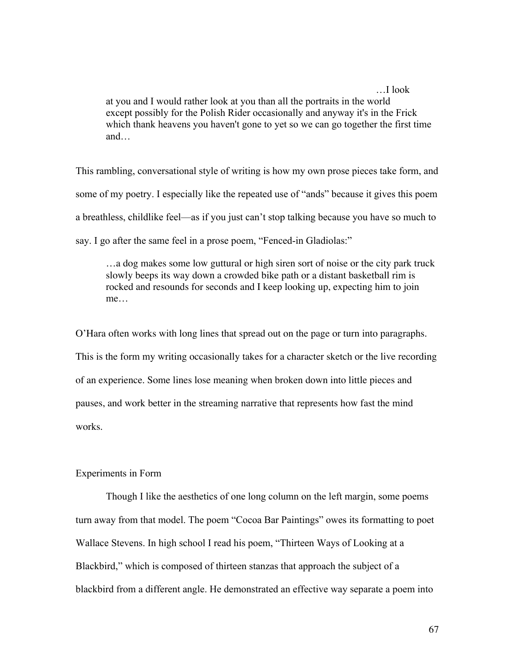…I look at you and I would rather look at you than all the portraits in the world except possibly for the Polish Rider occasionally and anyway it's in the Frick which thank heavens you haven't gone to yet so we can go together the first time and…

This rambling, conversational style of writing is how my own prose pieces take form, and some of my poetry. I especially like the repeated use of "ands" because it gives this poem a breathless, childlike feel—as if you just can't stop talking because you have so much to say. I go after the same feel in a prose poem, "Fenced-in Gladiolas:"

…a dog makes some low guttural or high siren sort of noise or the city park truck slowly beeps its way down a crowded bike path or a distant basketball rim is rocked and resounds for seconds and I keep looking up, expecting him to join me…

O'Hara often works with long lines that spread out on the page or turn into paragraphs. This is the form my writing occasionally takes for a character sketch or the live recording of an experience. Some lines lose meaning when broken down into little pieces and pauses, and work better in the streaming narrative that represents how fast the mind works.

# Experiments in Form

Though I like the aesthetics of one long column on the left margin, some poems turn away from that model. The poem "Cocoa Bar Paintings" owes its formatting to poet Wallace Stevens. In high school I read his poem, "Thirteen Ways of Looking at a Blackbird," which is composed of thirteen stanzas that approach the subject of a blackbird from a different angle. He demonstrated an effective way separate a poem into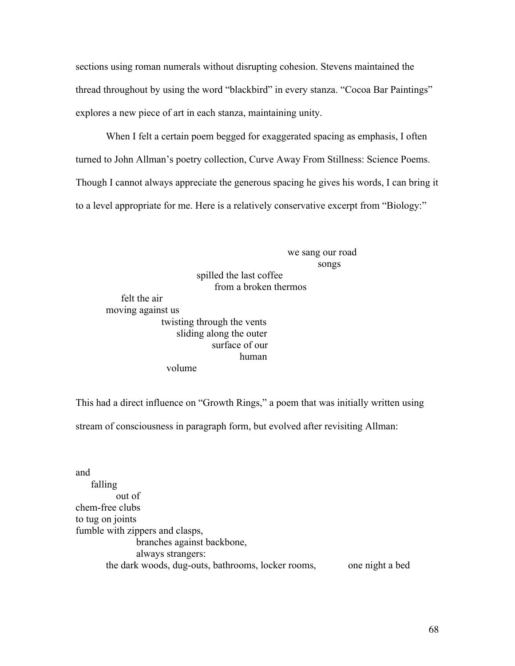sections using roman numerals without disrupting cohesion. Stevens maintained the thread throughout by using the word "blackbird" in every stanza. "Cocoa Bar Paintings" explores a new piece of art in each stanza, maintaining unity.

When I felt a certain poem begged for exaggerated spacing as emphasis, I often turned to John Allman's poetry collection, Curve Away From Stillness: Science Poems. Though I cannot always appreciate the generous spacing he gives his words, I can bring it to a level appropriate for me. Here is a relatively conservative excerpt from "Biology:"

> we sang our road songs

spilled the last coffee from a broken thermos felt the air moving against us twisting through the vents sliding along the outer surface of our human volume

This had a direct influence on "Growth Rings," a poem that was initially written using

stream of consciousness in paragraph form, but evolved after revisiting Allman:

and falling out of chem-free clubs to tug on joints fumble with zippers and clasps, branches against backbone, always strangers: the dark woods, dug-outs, bathrooms, locker rooms, one night a bed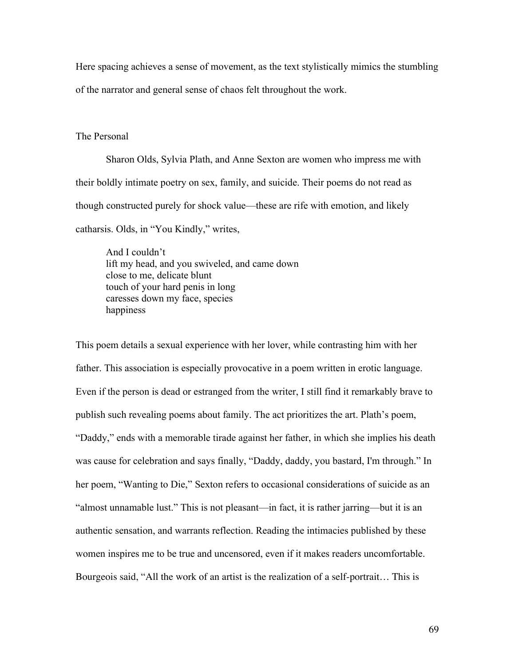Here spacing achieves a sense of movement, as the text stylistically mimics the stumbling of the narrator and general sense of chaos felt throughout the work.

### The Personal

Sharon Olds, Sylvia Plath, and Anne Sexton are women who impress me with their boldly intimate poetry on sex, family, and suicide. Their poems do not read as though constructed purely for shock value—these are rife with emotion, and likely catharsis. Olds, in "You Kindly," writes,

And I couldn't lift my head, and you swiveled, and came down close to me, delicate blunt touch of your hard penis in long caresses down my face, species happiness

This poem details a sexual experience with her lover, while contrasting him with her father. This association is especially provocative in a poem written in erotic language. Even if the person is dead or estranged from the writer, I still find it remarkably brave to publish such revealing poems about family. The act prioritizes the art. Plath's poem, "Daddy," ends with a memorable tirade against her father, in which she implies his death was cause for celebration and says finally, "Daddy, daddy, you bastard, I'm through." In her poem, "Wanting to Die," Sexton refers to occasional considerations of suicide as an "almost unnamable lust." This is not pleasant—in fact, it is rather jarring—but it is an authentic sensation, and warrants reflection. Reading the intimacies published by these women inspires me to be true and uncensored, even if it makes readers uncomfortable. Bourgeois said, "All the work of an artist is the realization of a self-portrait… This is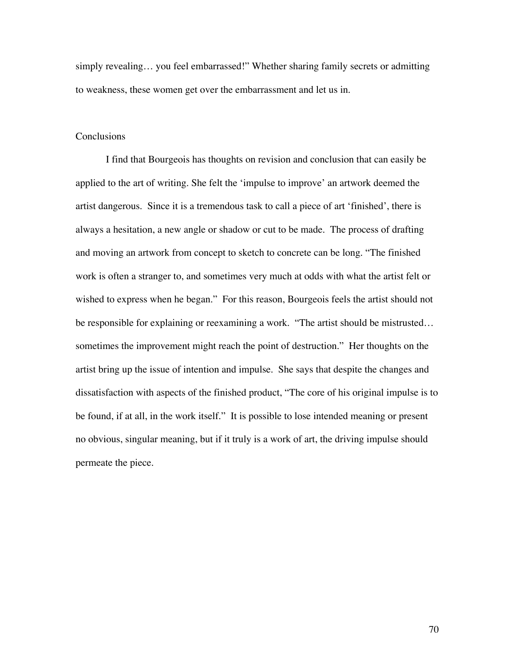simply revealing... you feel embarrassed!" Whether sharing family secrets or admitting to weakness, these women get over the embarrassment and let us in.

#### Conclusions

I find that Bourgeois has thoughts on revision and conclusion that can easily be applied to the art of writing. She felt the 'impulse to improve' an artwork deemed the artist dangerous. Since it is a tremendous task to call a piece of art 'finished', there is always a hesitation, a new angle or shadow or cut to be made. The process of drafting and moving an artwork from concept to sketch to concrete can be long. "The finished work is often a stranger to, and sometimes very much at odds with what the artist felt or wished to express when he began." For this reason, Bourgeois feels the artist should not be responsible for explaining or reexamining a work. "The artist should be mistrusted… sometimes the improvement might reach the point of destruction." Her thoughts on the artist bring up the issue of intention and impulse. She says that despite the changes and dissatisfaction with aspects of the finished product, "The core of his original impulse is to be found, if at all, in the work itself." It is possible to lose intended meaning or present no obvious, singular meaning, but if it truly is a work of art, the driving impulse should permeate the piece.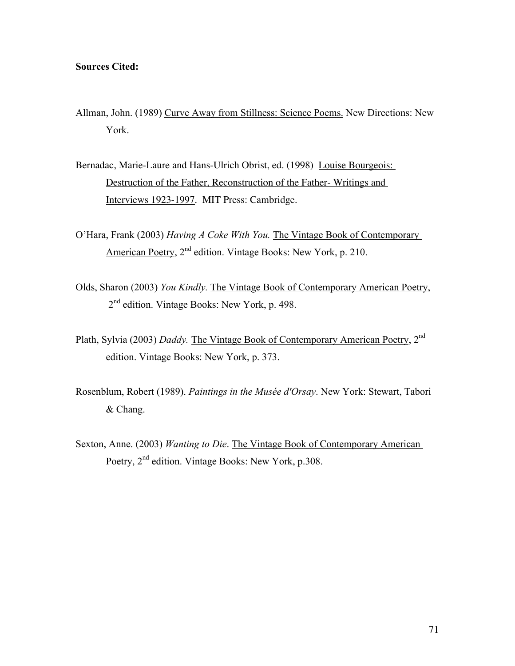## Sources Cited:

- Allman, John. (1989) Curve Away from Stillness: Science Poems. New Directions: New York.
- Bernadac, Marie-Laure and Hans-Ulrich Obrist, ed. (1998) Louise Bourgeois: Destruction of the Father, Reconstruction of the Father- Writings and Interviews 1923-1997. MIT Press: Cambridge.
- O'Hara, Frank (2003) *Having A Coke With You.* The Vintage Book of Contemporary American Poetry, 2<sup>nd</sup> edition. Vintage Books: New York, p. 210.
- Olds, Sharon (2003) *You Kindly.* The Vintage Book of Contemporary American Poetry, 2<sup>nd</sup> edition. Vintage Books: New York, p. 498.
- Plath, Sylvia (2003) *Daddy.* The Vintage Book of Contemporary American Poetry, 2nd edition. Vintage Books: New York, p. 373.
- Rosenblum, Robert (1989). *Paintings in the Musée d'Orsay*. New York: Stewart, Tabori & Chang.
- Sexton, Anne. (2003) *Wanting to Die*. The Vintage Book of Contemporary American Poetry, 2<sup>nd</sup> edition. Vintage Books: New York, p.308.